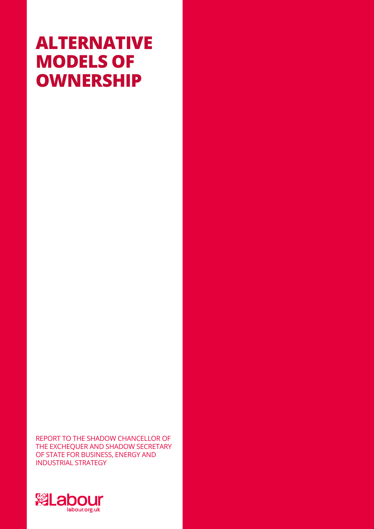# **ALTERNATIVE MODELS OF OWNERSHIP**

REPORT TO THE SHADOW CHANCELLOR OF THE EXCHEQUER AND SHADOW SECRETARY OF STATE FOR BUSINESS, ENERGY AND INDUSTRIAL STRATEGY

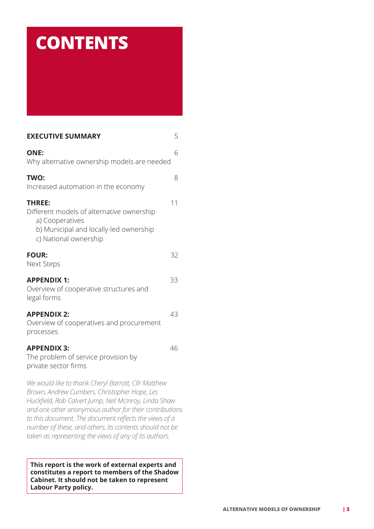# **CONTENTS**

| <b>EXECUTIVE SUMMARY</b>                                                                                                                                                                                                                                                                                                                                                                              | 5  |
|-------------------------------------------------------------------------------------------------------------------------------------------------------------------------------------------------------------------------------------------------------------------------------------------------------------------------------------------------------------------------------------------------------|----|
| <b>ONE:</b><br>Why alternative ownership models are needed                                                                                                                                                                                                                                                                                                                                            | 6  |
| TWO:<br>Increased automation in the economy                                                                                                                                                                                                                                                                                                                                                           | 8  |
| <b>THREE:</b><br>Different models of alternative ownership<br>a) Cooperatives<br>b) Municipal and locally-led ownership<br>c) National ownership                                                                                                                                                                                                                                                      | 11 |
| <b>FOUR:</b><br><b>Next Steps</b>                                                                                                                                                                                                                                                                                                                                                                     | 32 |
| <b>APPENDIX 1:</b><br>Overview of cooperative structures and<br>legal forms                                                                                                                                                                                                                                                                                                                           | 33 |
| <b>APPENDIX 2:</b><br>Overview of cooperatives and procurement<br>processes                                                                                                                                                                                                                                                                                                                           | 43 |
| <b>APPENDIX 3:</b><br>The problem of service provision by<br>private sector firms                                                                                                                                                                                                                                                                                                                     | 46 |
| We would like to thank Cheryl Barrott, Cllr Matthew<br>Brown, Andrew Cumbers, Christopher Hope, Les<br>Huckfield, Rob Calvert Jump, Neil McInroy, Linda Shaw<br>and one other anonymous author for their contributions<br>to this document. The document reflects the views of a<br>number of these, and others; its contents should not be<br>taken as representing the views of any of its authors. |    |

**This report is the work of external experts and constitutes a report to members of the Shadow Cabinet. It should not be taken to represent Labour Party policy.**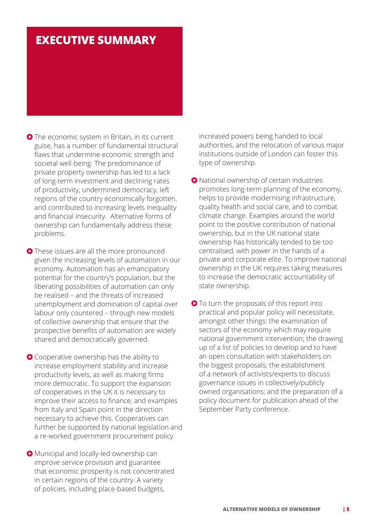# **EXECUTIVE SUMMARY**

- **O** The economic system in Britain, in its current guise, has a number of fundamental structural flaws that undermine economic strength and societal well-being. The predominance of private property ownership has led to a lack of long-term investment and declining rates of productivity, undermined democracy, left regions of the country economically forgotten, and contributed to increasing levels inequality and financial insecurity. Alternative forms of ownership can fundamentally address these problems.
- **O** These issues are all the more pronounced given the increasing levels of automation in our economy. Automation has an emancipatory potential for the country's population, but the liberating possibilities of automation can only be realised – and the threats of increased unemployment and domination of capital over labour only countered – through new models of collective ownership that ensure that the prospective benefits of automation are widely shared and democratically governed.
- Cooperative ownership has the ability to increase employment stability and increase productivity levels, as well as making firms more democratic. To support the expansion of cooperatives in the UK it is necessary to improve their access to finance, and examples from Italy and Spain point in the direction necessary to achieve this. Cooperatives can further be supported by national legislation and a re-worked government procurement policy.
- Municipal and locally-led ownership can improve service provision and guarantee that economic prosperity is not concentrated in certain regions of the country. A variety of policies, including place-based budgets,

increased powers being handed to local authorities, and the relocation of various major institutions outside of London can foster this type of ownership.

- National ownership of certain industries promotes long-term planning of the economy, helps to provide modernising infrastructure, quality health and social care, and to combat climate change. Examples around the world point to the positive contribution of national ownership, but in the UK national state ownership has historically tended to be too centralised, with power in the hands of a private and corporate elite. To improve national ownership in the UK requires taking measures to increase the democratic accountability of state ownership.
- **O** To turn the proposals of this report into practical and popular policy will necessitate, amongst other things: the examination of sectors of the economy which may require national government intervention; the drawing up of a list of policies to develop and to have an open consultation with stakeholders on the biggest proposals; the establishment of a network of activists/experts to discuss governance issues in collectively/publicly owned organisations; and the preparation of a policy document for publication ahead of the September Party conference.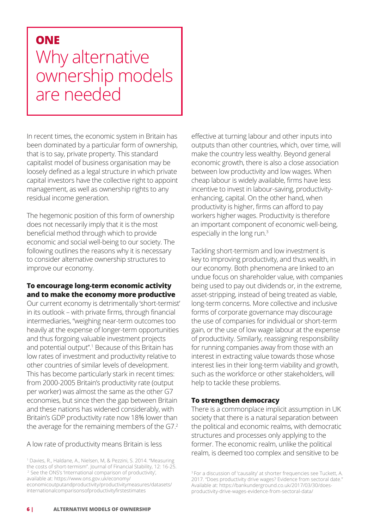# **ONE**

# Why alternative ownership models are needed

In recent times, the economic system in Britain has been dominated by a particular form of ownership, that is to say, private property. This standard capitalist model of business organisation may be loosely defined as a legal structure in which private capital investors have the collective right to appoint management, as well as ownership rights to any residual income generation.

The hegemonic position of this form of ownership does not necessarily imply that it is the most beneficial method through which to provide economic and social well-being to our society. The following outlines the reasons why it is necessary to consider alternative ownership structures to improve our economy.

# **To encourage long-term economic activity and to make the economy more productive**

Our current economy is detrimentally 'short-termist' in its outlook – with private firms, through financial intermediaries, "weighing near-term outcomes too heavily at the expense of longer-term opportunities and thus forgoing valuable investment projects and potential output".<sup>1</sup> Because of this Britain has low rates of investment and productivity relative to other countries of similar levels of development. This has become particularly stark in recent times: from 2000-2005 Britain's productivity rate (output per worker) was almost the same as the other G7 economies, but since then the gap between Britain and these nations has widened considerably, with Britain's GDP productivity rate now 18% lower than the average for the remaining members of the G7.2

A low rate of productivity means Britain is less

1 Davies, R., Haldane, A., Nielsen, M, & Pezzini, S. 2014. "Measuring the costs of short-termism". Journal of Financial Stability, 12: 16-25. <sup>2</sup> See the ONS's 'International comparison of productivity', available at: https://www.ons.gov.uk/economy/

economicoutputandproductivity/productivitymeasures/datasets/ internationalcomparisonsofproductivityfirstestimates

effective at turning labour and other inputs into outputs than other countries, which, over time, will make the country less wealthy. Beyond general economic growth, there is also a close association between low productivity and low wages. When cheap labour is widely available, firms have less incentive to invest in labour-saving, productivityenhancing, capital. On the other hand, when productivity is higher, firms can afford to pay workers higher wages. Productivity is therefore an important component of economic well-being, especially in the long run.3

Tackling short-termism and low investment is key to improving productivity, and thus wealth, in our economy. Both phenomena are linked to an undue focus on shareholder value, with companies being used to pay out dividends or, in the extreme, asset-stripping, instead of being treated as viable, long-term concerns. More collective and inclusive forms of corporate governance may discourage the use of companies for individual or short-term gain, or the use of low wage labour at the expense of productivity. Similarly, reassigning responsibility for running companies away from those with an interest in extracting value towards those whose interest lies in their long-term viability and growth, such as the workforce or other stakeholders, will help to tackle these problems.

# **To strengthen democracy**

There is a commonplace implicit assumption in UK society that there is a natural separation between the political and economic realms, with democratic structures and processes only applying to the former. The economic realm, unlike the political realm, is deemed too complex and sensitive to be

<sup>3</sup>For a discussion of 'causality' at shorter frequencies see Tuckett, A. 2017. "Does productivity drive wages? Evidence from sectoral date." Available at: https://bankunderground.co.uk/2017/03/30/doesproductivity-drive-wages-evidence-from-sectoral-data/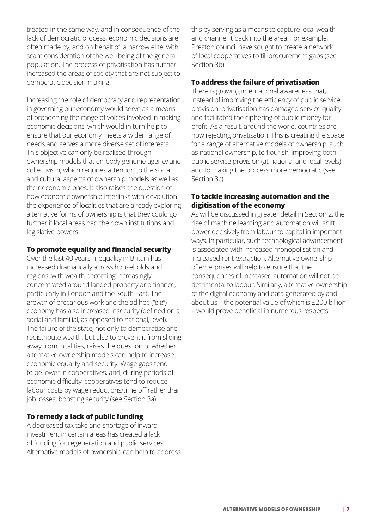treated in the same way, and in consequence of the lack of democratic process, economic decisions are often made by, and on behalf of, a narrow elite, with scant consideration of the well-being of the general population. The process of privatisation has further increased the areas of society that are not subject to democratic decision-making.

Increasing the role of democracy and representation in governing our economy would serve as a means of broadening the range of voices involved in making economic decisions, which would in turn help to ensure that our economy meets a wider range of needs and serves a more diverse set of interests. This objective can only be realised through ownership models that embody genuine agency and collectivism, which requires attention to the social and cultural aspects of ownership models as well as their economic ones. It also raises the question of how economic ownership interlinks with devolution – the experience of localities that are already exploring alternative forms of ownership is that they could go further if local areas had their own institutions and legislative powers.

### **To promote equality and financial security**

Over the last 40 years, inequality in Britain has increased dramatically across households and regions, with wealth becoming increasingly concentrated around landed property and finance, particularly in London and the South East. The growth of precarious work and the ad hoc ("gig") economy has also increased insecurity (defined on a social and familial, as opposed to national, level). The failure of the state, not only to democratise and redistribute wealth, but also to prevent it from sliding away from localities, raises the question of whether alternative ownership models can help to increase economic equality and security. Wage gaps tend to be lower in cooperatives, and, during periods of economic difficulty, cooperatives tend to reduce labour costs by wage reductions/time off rather than job losses, boosting security (see Section 3a).

#### **To remedy a lack of public funding**

A decreased tax take and shortage of inward investment in certain areas has created a lack of funding for regeneration and public services. Alternative models of ownership can help to address this by serving as a means to capture local wealth and channel it back into the area. For example, Preston council have sought to create a network of local cooperatives to fill procurement gaps (see Section 3b).

### **To address the failure of privatisation**

There is growing international awareness that, instead of improving the efficiency of public service provision, privatisation has damaged service quality and facilitated the ciphering of public money for profit. As a result, around the world, countries are now rejecting privatisation. This is creating the space for a range of alternative models of ownership, such as national ownership, to flourish, improving both public service provision (at national and local levels) and to making the process more democratic (see Section 3c).

### **To tackle increasing automation and the digitisation of the economy**

As will be discussed in greater detail in Section 2, the rise of machine learning and automation will shift power decisively from labour to capital in important ways. In particular, such technological advancement is associated with increased monopolisation and increased rent extraction. Alternative ownership of enterprises will help to ensure that the consequences of increased automation will not be detrimental to labour. Similarly, alternative ownership of the digital economy and data generated by and about us – the potential value of which is £200 billion – would prove beneficial in numerous respects.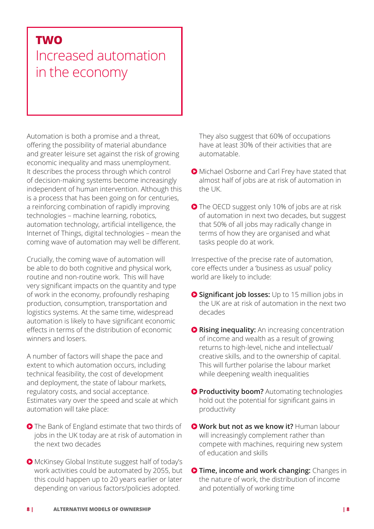# **TWO**

# Increased automation in the economy

Automation is both a promise and a threat, offering the possibility of material abundance and greater leisure set against the risk of growing economic inequality and mass unemployment. It describes the process through which control of decision-making systems become increasingly independent of human intervention. Although this is a process that has been going on for centuries, a reinforcing combination of rapidly improving technologies – machine learning, robotics, automation technology, artificial intelligence, the Internet of Things, digital technologies – mean the coming wave of automation may well be different.

Crucially, the coming wave of automation will be able to do both cognitive and physical work, routine and non-routine work. This will have very significant impacts on the quantity and type of work in the economy, profoundly reshaping production, consumption, transportation and logistics systems. At the same time, widespread automation is likely to have significant economic effects in terms of the distribution of economic winners and losers.

A number of factors will shape the pace and extent to which automation occurs, including technical feasibility, the cost of development and deployment, the state of labour markets, regulatory costs, and social acceptance. Estimates vary over the speed and scale at which automation will take place:

- **O** The Bank of England estimate that two thirds of jobs in the UK today are at risk of automation in the next two decades
- McKinsey Global Institute suggest half of today's work activities could be automated by 2055, but this could happen up to 20 years earlier or later depending on various factors/policies adopted.

They also suggest that 60% of occupations have at least 30% of their activities that are automatable.

- Michael Osborne and Carl Frey have stated that almost half of jobs are at risk of automation in the UK.
- The OECD suggest only 10% of jobs are at risk of automation in next two decades, but suggest that 50% of all jobs may radically change in terms of how they are organised and what tasks people do at work.

Irrespective of the precise rate of automation, core effects under a 'business as usual' policy world are likely to include:

- **O Significant job losses:** Up to 15 million jobs in the UK are at risk of automation in the next two decades
- **O Rising inequality:** An increasing concentration of income and wealth as a result of growing returns to high-level, niche and intellectual/ creative skills, and to the ownership of capital. This will further polarise the labour market while deepening wealth inequalities
- **Productivity boom?** Automating technologies hold out the potential for significant gains in productivity
- **Work but not as we know it?** Human labour will increasingly complement rather than compete with machines, requiring new system of education and skills
- **Time, income and work changing:** Changes in the nature of work, the distribution of income and potentially of working time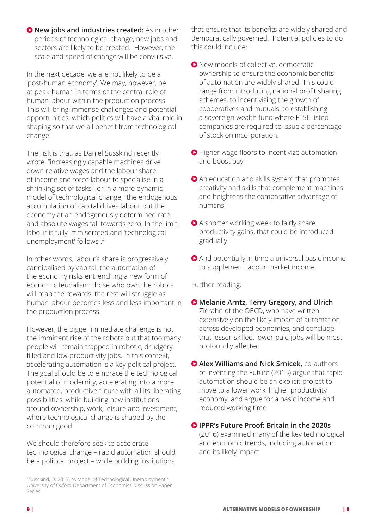**O** New jobs and industries created: As in other periods of technological change, new jobs and sectors are likely to be created. However, the scale and speed of change will be convulsive.

In the next decade, we are not likely to be a 'post-human economy'. We may, however, be at peak-human in terms of the central role of human labour within the production process. This will bring immense challenges and potential opportunities, which politics will have a vital role in shaping so that we all benefit from technological change.

The risk is that, as Daniel Susskind recently wrote, "increasingly capable machines drive down relative wages and the labour share of income and force labour to specialise in a shrinking set of tasks", or in a more dynamic model of technological change, "the endogenous accumulation of capital drives labour out the economy at an endogenously determined rate, and absolute wages fall towards zero. In the limit, labour is fully immiserated and 'technological unemployment' follows".<sup>4</sup>

In other words, labour's share is progressively cannibalised by capital, the automation of the economy risks entrenching a new form of economic feudalism: those who own the robots will reap the rewards, the rest will struggle as human labour becomes less and less important in the production process.

However, the bigger immediate challenge is not the imminent rise of the robots but that too many people will remain trapped in robotic, drudgeryfilled and low-productivity jobs. In this context, accelerating automation is a key political project. The goal should be to embrace the technological potential of modernity, accelerating into a more automated, productive future with all its liberating possibilities, while building new institutions around ownership, work, leisure and investment, where technological change is shaped by the common good.

We should therefore seek to accelerate technological change – rapid automation should be a political project – while building institutions

that ensure that its benefits are widely shared and democratically governed. Potential policies to do this could include:

- New models of collective, democratic ownership to ensure the economic benefits of automation are widely shared. This could range from introducing national profit sharing schemes, to incentivising the growth of cooperatives and mutuals, to establishing a sovereign wealth fund where FTSE listed companies are required to issue a percentage of stock on incorporation.
- Higher wage floors to incentivize automation and boost pay
- An education and skills system that promotes creativity and skills that complement machines and heightens the comparative advantage of humans
- A shorter working week to fairly share productivity gains, that could be introduced gradually
- And potentially in time a universal basic income to supplement labour market income.

Further reading:

- **Melanie Arntz, Terry Gregory, and Ulrich**  Zierahn of the OECD, who have written extensively on the likely impact of automation across developed economies, and conclude that lesser-skilled, lower-paid jobs will be most profoundly affected
- **Alex Williams and Nick Srnicek,** co-authors of Inventing the Future (2015) argue that rapid automation should be an explicit project to move to a lower work, higher productivity economy, and argue for a basic income and reduced working time
- **IPPR's Future Proof: Britain in the 2020s** (2016) examined many of the key technological and economic trends, including automation and its likely impact

<sup>4</sup>Susskind, D. 2017. "A Model of Technological Unemployment." University of Oxford Department of Economics Discussion Paper Series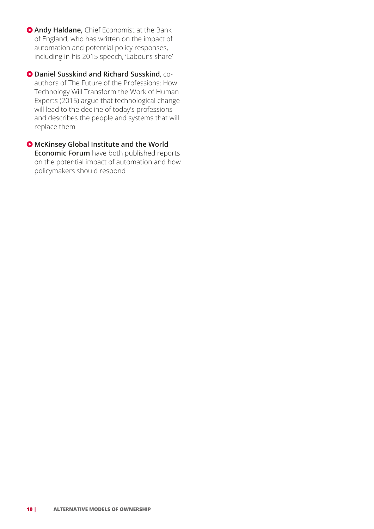**Andy Haldane,** Chief Economist at the Bank of England, who has written on the impact of automation and potential policy responses, including in his 2015 speech, 'Labour's share'

 **Daniel Susskind and Richard Susskind**, coauthors of The Future of the Professions: How Technology Will Transform the Work of Human Experts (2015) argue that technological change will lead to the decline of today's professions and describes the people and systems that will replace them

 **McKinsey Global Institute and the World Economic Forum** have both published reports on the potential impact of automation and how policymakers should respond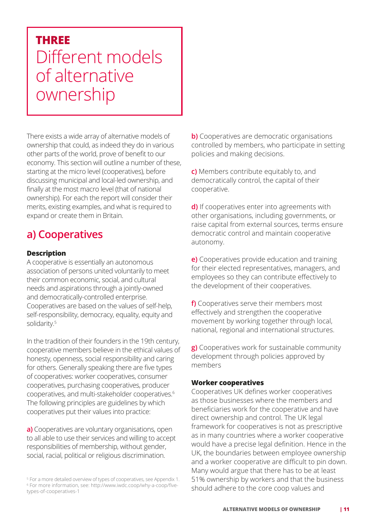# **THREE** Different models of alternative ownership

There exists a wide array of alternative models of ownership that could, as indeed they do in various other parts of the world, prove of benefit to our economy. This section will outline a number of these, starting at the micro level (cooperatives), before discussing municipal and local-led ownership, and finally at the most macro level (that of national ownership). For each the report will consider their merits, existing examples, and what is required to expand or create them in Britain.

# **a) Cooperatives**

# **Description**

A cooperative is essentially an autonomous association of persons united voluntarily to meet their common economic, social, and cultural needs and aspirations through a jointly-owned and democratically-controlled enterprise. Cooperatives are based on the values of self-help, self-responsibility, democracy, equality, equity and solidarity.<sup>5</sup>

In the tradition of their founders in the 19th century, cooperative members believe in the ethical values of honesty, openness, social responsibility and caring for others. Generally speaking there are five types of cooperatives: worker cooperatives, consumer cooperatives, purchasing cooperatives, producer cooperatives, and multi-stakeholder cooperatives.6 The following principles are guidelines by which cooperatives put their values into practice:

**a)** Cooperatives are voluntary organisations, open to all able to use their services and willing to accept responsibilities of membership, without gender, social, racial, political or religious discrimination.

**b)** Cooperatives are democratic organisations controlled by members, who participate in setting policies and making decisions.

**c)** Members contribute equitably to, and democratically control, the capital of their cooperative.

**d)** If cooperatives enter into agreements with other organisations, including governments, or raise capital from external sources, terms ensure democratic control and maintain cooperative autonomy.

**e)** Cooperatives provide education and training for their elected representatives, managers, and employees so they can contribute effectively to the development of their cooperatives.

**f)** Cooperatives serve their members most effectively and strengthen the cooperative movement by working together through local, national, regional and international structures.

**g)** Cooperatives work for sustainable community development through policies approved by members

#### **Worker cooperatives**

Cooperatives UK defines worker cooperatives as those businesses where the members and beneficiaries work for the cooperative and have direct ownership and control. The UK legal framework for cooperatives is not as prescriptive as in many countries where a worker cooperative would have a precise legal definition. Hence in the UK, the boundaries between employee ownership and a worker cooperative are difficult to pin down. Many would argue that there has to be at least 51% ownership by workers and that the business should adhere to the core coop values and

<sup>&</sup>lt;sup>5</sup> For a more detailed overview of types of cooperatives, see Appendix 1. 6 For more information, see: http://www.iwdc.coop/why-a-coop/fivetypes-of-cooperatives-1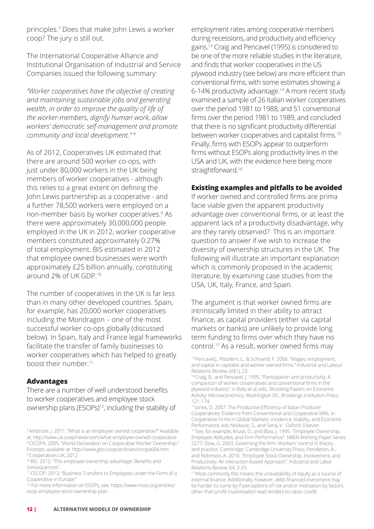principles.7 Does that make John Lewis a worker coop? The jury is still out.

The International Cooperative Alliance and Institutional Organisation of Industrial and Service Companies issued the following summary:

*"Worker cooperatives have the objective of creating and maintaining sustainable jobs and generating wealth, in order to improve the quality of life of the worker-members, dignify human work, allow workers' democratic self-management and promote community and local development."* <sup>8</sup>

As of 2012, Cooperatives UK estimated that there are around 500 worker co-ops, with just under 80,000 workers in the UK being members of worker cooperatives - although this relies to a great extent on defining the John Lewis partnership as a cooperative - and a further 78,500 workers were employed on a non-member basis by worker cooperatives.<sup>9</sup> As there were approximately 30,000,000 people employed in the UK in 2012, worker cooperative members constituted approximately 0.27% of total employment. BIS estimated in 2012 that employee owned businesses were worth approximately £25 billion annually, constituting around 2% of UK GDP.10

The number of cooperatives in the UK is far less than in many other developed countries. Spain, for example, has 20,000 worker cooperatives including the Mondragon – one of the most successful worker co-ops globally (discussed below). In Spain, Italy and France legal frameworks facilitate the transfer of family businesses to worker cooperatives which has helped to greatly boost their number.11

#### **Advantages**

There are a number of well understood benefits to worker cooperatives and employee stock ownership plans (ESOPs)<sup>12</sup>, including the stability of

employment rates among cooperative members during recessions, and productivity and efficiency gains.13 Craig and Pencavel (1995) is considered to be one of the more reliable studies in the literature, and finds that worker cooperatives in the US plywood industry (see below) are more efficient than conventional firms, with some estimates showing a 6-14% productivity advantage.<sup>14</sup> A more recent study examined a sample of 26 Italian worker cooperatives over the period 1981 to 1988, and 51 conventional firms over the period 1981 to 1989, and concluded that there is no significant productivity differential between worker cooperatives and capitalist firms.<sup>15</sup> Finally, firms with ESOPs appear to outperform firms without ESOPs along productivity lines in the USA and UK, with the evidence here being more straightforward.<sup>16</sup>

#### **Existing examples and pitfalls to be avoided**

If worker owned and controlled firms are prima facie viable given the apparent productivity advantage over conventional firms, or at least the apparent lack of a productivity disadvantage, why are they rarely observed? This is an important question to answer if we wish to increase the diversity of ownership structures in the UK. The following will illustrate an important explanation which is commonly proposed in the academic literature, by examining case studies from the USA, UK, Italy, France, and Spain.

The argument is that worker owned firms are intrinsically limited in their ability to attract finance, as capital providers (either via capital markets or banks) are unlikely to provide long term funding to firms over which they have no control.17 As a result, worker owned firms may

<sup>7</sup>Ambrose, J. 2011. "What is an employee owned cooperative?" Available at: http://www.uk.coop/newsroom/what-employee-owned-cooperative <sup>8</sup>CICOPA. 2005. "World Declaration on Cooperative Worker Ownership." Excerpts available at: http://www.geo.coop/archives/cicopa604.htm <sup>9</sup> Cooperatives UK, 2012

<sup>10</sup> BIS. 2012. "The employee ownership advantage: Benefits and consequences".

<sup>11</sup>CECOP. 2013. "Business Transfers to Employees under the Form of a Cooperative in Europe."

<sup>12</sup>For more information on ESOPs, see: https://www.nceo.org/articles/ esop-employee-stock-ownership-plan

<sup>13</sup> Pencavel, J., Pistaferri, L., & Schivardi, F. 2006. "Wages, employment, and capital in capitalist and worker-owned firms." Industrial and Labour Relations Review, 60(1), 23.

<sup>&</sup>lt;sup>14</sup> Craig, B., and Pencavel, J. 1995. "Participation and productivity: A comparison of worker cooperatives and conventional firms in the plywood industry", in Baily et al, eds., Brooking Papers on Economic Activity: Microeconomics, Washington DC: Brookings Institution Press, 121-174.

<sup>15</sup> Jones, D. 2007. The Productive Efficiency of Italian Producer Cooperatives: Evidence from Conventional and Cooperative Mills. In Cooperative Firms in Global Markets: Incidence, Viability, and Economic Performance, eds Novkovic, S., and Sena, V. Oxford: Elsevier. <sup>16</sup> See, for example, Kruse, D., and Blasi, J. 1995. "Employee Ownership, Employee Attitudes, and Firm Performance". NBER Working Paper Series 5277; Dow, G. 2003. Governing the firm: Workers' control in theory and practice. Cambridge: Cambridge University Press; Pendleton, A., and Robinson, A. 2010. "Employee Stock Ownership, Involvement, and Productivity: An Interaction-based Approach". Industrial and Labor Relations Review, 64, 3-29.

<sup>&</sup>lt;sup>17</sup> Most commonly this means the unavailability of equity as a source of external finance. Additionally, however, debt-financed investment may be harder to come by if perceptions of risk and/or motivation by factors other than profit maximisation lead lenders to ration credit.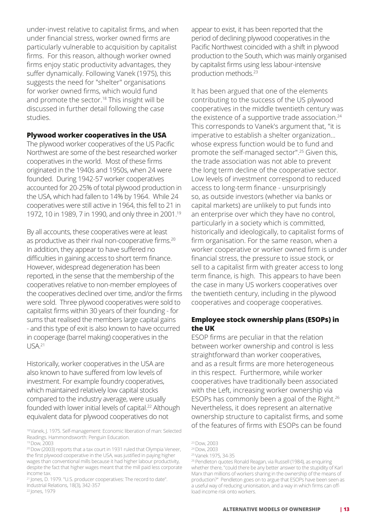under-invest relative to capitalist firms, and when under financial stress, worker owned firms are particularly vulnerable to acquisition by capitalist firms. For this reason, although worker owned firms enjoy static productivity advantages, they suffer dynamically. Following Vanek (1975), this suggests the need for "shelter" organisations for worker owned firms, which would fund and promote the sector.<sup>18</sup> This insight will be discussed in further detail following the case studies.

#### **Plywood worker cooperatives in the USA**

The plywood worker cooperatives of the US Pacific Northwest are some of the best researched worker cooperatives in the world. Most of these firms originated in the 1940s and 1950s, when 24 were founded. During 1942-57 worker cooperatives accounted for 20-25% of total plywood production in the USA, which had fallen to 14% by 1964. While 24 cooperatives were still active in 1964, this fell to 21 in 1972, 10 in 1989, 7 in 1990, and only three in 2001.19

By all accounts, these cooperatives were at least as productive as their rival non-cooperative firms.<sup>20</sup> In addition, they appear to have suffered no difficulties in gaining access to short term finance. However, widespread degeneration has been reported, in the sense that the membership of the cooperatives relative to non-member employees of the cooperatives declined over time, and/or the firms were sold. Three plywood cooperatives were sold to capitalist firms within 30 years of their founding - for sums that realised the members large capital gains - and this type of exit is also known to have occurred in cooperage (barrel making) cooperatives in the  $I$  JSA 21

Historically, worker cooperatives in the USA are also known to have suffered from low levels of investment. For example foundry cooperatives, which maintained relatively low capital stocks compared to the industry average, were usually founded with lower initial levels of capital.<sup>22</sup> Although equivalent data for plywood cooperatives do not

<sup>22</sup> Jones, 1979

appear to exist, it has been reported that the period of declining plywood cooperatives in the Pacific Northwest coincided with a shift in plywood production to the South, which was mainly organised by capitalist firms using less labour-intensive production methods.23

It has been argued that one of the elements contributing to the success of the US plywood cooperatives in the middle twentieth century was the existence of a supportive trade association.<sup>24</sup> This corresponds to Vanek's argument that, "it is imperative to establish a shelter organization... whose express function would be to fund and promote the self-managed sector".25 Given this, the trade association was not able to prevent the long term decline of the cooperative sector. Low levels of investment correspond to reduced access to long-term finance - unsurprisingly so, as outside investors (whether via banks or capital markets) are unlikely to put funds into an enterprise over which they have no control, particularly in a society which is committed, historically and ideologically, to capitalist forms of firm organisation. For the same reason, when a worker cooperative or worker owned firm is under financial stress, the pressure to issue stock, or sell to a capitalist firm with greater access to long term finance, is high. This appears to have been the case in many US workers cooperatives over the twentieth century, including in the plywood cooperatives and cooperage cooperatives.

### **Employee stock ownership plans (ESOPs) in the UK**

ESOP firms are peculiar in that the relation between worker ownership and control is less straightforward than worker cooperatives, and as a result firms are more heterogeneous in this respect. Furthermore, while worker cooperatives have traditionally been associated with the Left, increasing worker ownership via ESOPs has commonly been a goal of the Right.26 Nevertheless, it does represent an alternative ownership structure to capitalist firms, and some of the features of firms with ESOPs can be found

<sup>18</sup>Vanek, J. 1975. Self-management: Economic liberation of man: Selected Readings. Hammondsworth: Penguin Education.

<sup>19</sup> Dow, 2003

<sup>&</sup>lt;sup>20</sup> Dow (2003) reports that a tax court in 1931 ruled that Olympia Veneer, the first plywood cooperative in the USA, was justified in paying higher wages than conventional mills because it had higher labour productivity, despite the fact that higher wages meant that the mill paid less corporate income tax.

<sup>&</sup>lt;sup>21</sup> Jones, D. 1979. "U.S. producer cooperatives: The record to date". Industrial Relations, 18(3), 342-357

<sup>23</sup>Dow, 2003

<sup>24</sup>Dow, 2003

<sup>25</sup>Vanek 1975, 34-35

<sup>&</sup>lt;sup>26</sup> Pendleton quotes Ronald Reagan, via Russell (1984), as enquiring whether there, "could there be any better answer to the stupidity of Karl Marx than millions of workers sharing in the ownership of the means of production?" Pendleton goes on to argue that ESOPs have been seen as a useful way of reducing unionisation, and a way in which firms can offload income risk onto workers.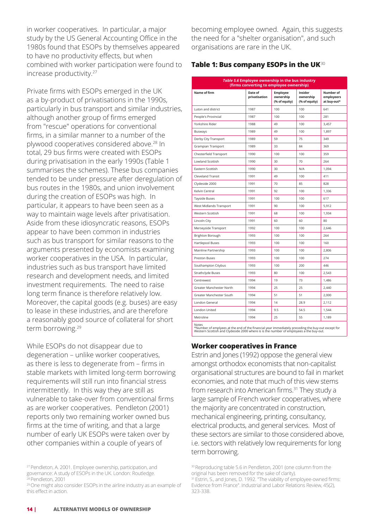in worker cooperatives. In particular, a major study by the US General Accounting Office in the 1980s found that ESOPs by themselves appeared to have no productivity effects, but when combined with worker participation were found to increase productivity.27

Private firms with ESOPs emerged in the UK as a by-product of privatisations in the 1990s, particularly in bus transport and similar industries, although another group of firms emerged from "rescue" operations for conventional firms, in a similar manner to a number of the plywood cooperatives considered above.28 In total, 29 bus firms were created with ESOPs during privatisation in the early 1990s (Table 1 summarises the schemes). These bus companies tended to be under pressure after deregulation of bus routes in the 1980s, and union involvement during the creation of ESOPs was high. In particular, it appears to have been seen as a way to maintain wage levels after privatisation. Aside from these idiosyncratic reasons, ESOPs appear to have been common in industries such as bus transport for similar reasons to the arguments presented by economists examining worker cooperatives in the USA. In particular, industries such as bus transport have limited research and development needs, and limited investment requirements. The need to raise long term finance is therefore relatively low. Moreover, the capital goods (e.g. buses) are easy to lease in these industries, and are therefore a reasonably good source of collateral for short term borrowing.<sup>29</sup>

While ESOPs do not disappear due to degeneration – unlike worker cooperatives, as there is less to degenerate from – firms in stable markets with limited long-term borrowing requirements will still run into financial stress intermittently. In this way they are still as vulnerable to take-over from conventional firms as are worker cooperatives. Pendleton (2001) reports only two remaining worker owned bus firms at the time of writing, and that a large number of early UK ESOPs were taken over by other companies within a couple of years of

<sup>27</sup> Pendleton, A. 2001. Employee ownership, participation, and governance: A study of ESOPs in the UK. London: Routledge. <sup>28</sup> Pendleton, 2001

becoming employee owned. Again, this suggests the need for a "shelter organisation", and such organisations are rare in the UK.

# **Table 1: Bus company ESOPs in the UK**<sup>30</sup>

| Table 5.6 Employee ownership in the bus industry<br>(firms converting to employee ownership) |                          |                                               |                                       |                                        |
|----------------------------------------------------------------------------------------------|--------------------------|-----------------------------------------------|---------------------------------------|----------------------------------------|
| Name of firm                                                                                 | Date of<br>privatisation | <b>Employee</b><br>ownership<br>(% of equity) | Insider<br>ownership<br>(% of equity) | Number of<br>employeers<br>at buy-out* |
| Luton and district                                                                           | 1987                     | 100                                           | 100                                   | 641                                    |
| People's Provincial                                                                          | 1987                     | 100                                           | 100                                   | 281                                    |
| Yorkshire Rider                                                                              | 1988                     | 49                                            | 100                                   | 3,457                                  |
| Busways                                                                                      | 1989                     | 49                                            | 100                                   | 1,897                                  |
| Derby City Transport                                                                         | 1989                     | 59                                            | 75                                    | 349                                    |
| <b>Grampian Transport</b>                                                                    | 1989                     | 33                                            | 84                                    | 369                                    |
| Chesterfield Transport                                                                       | 1990                     | 100                                           | 100                                   | 359                                    |
| Lowland Scottish                                                                             | 1990                     | 30                                            | 70                                    | 264                                    |
| Eastern Scottish                                                                             | 1990                     | 30                                            | N/A                                   | 1,094                                  |
| <b>Cleveland Transit</b>                                                                     | 1991                     | 49                                            | 100                                   | 411                                    |
| Clydeside 2000                                                                               | 1991                     | 70                                            | 85                                    | 828                                    |
| Kelvin Central                                                                               | 1991                     | 92                                            | 100                                   | 1,336                                  |
| <b>Tayside Buses</b>                                                                         | 1991                     | 100                                           | 100                                   | 617                                    |
| West Midlands Transport                                                                      | 1991                     | 90                                            | 100                                   | 5,912                                  |
| Western Scottish                                                                             | 1991                     | 68                                            | 100                                   | 1,934                                  |
| Lincoln City                                                                                 | 1991                     | 60                                            | 60                                    | 80                                     |
| Merseyside Transport                                                                         | 1992                     | 100                                           | 100                                   | 2,646                                  |
| Brighton Borough                                                                             | 1993                     | 100                                           | 100                                   | 264                                    |
| <b>Hartlepool Buses</b>                                                                      | 1993                     | 100                                           | 100                                   | 160                                    |
| Mainline Partnership                                                                         | 1993                     | 100                                           | 100                                   | 2,806                                  |
| Preston Buses                                                                                | 1993                     | 100                                           | 100                                   | 274                                    |
| Southampton Citybus                                                                          | 1993                     | 100                                           | 200                                   | 446                                    |
| Strathclyde Buses                                                                            | 1993                     | 80                                            | 100                                   | 2,543                                  |
| Centrewest                                                                                   | 1994                     | 19                                            | 73                                    | 1,486                                  |
| Greater Manchester North                                                                     | 1994                     | 25                                            | 25                                    | 2,440                                  |
| Greater Manchester South                                                                     | 1994                     | 51                                            | 51                                    | 2,000                                  |
| London General                                                                               | 1994                     | 14                                            | 28.9                                  | 2,112                                  |
| London United                                                                                | 1994                     | 9.5                                           | 54.5                                  | 1,544                                  |
| Metroline                                                                                    | 1994                     | 25                                            | 55                                    | 1.189                                  |
| Notes                                                                                        |                          |                                               |                                       |                                        |

Notes<br>\*Number of emplyees at the end of the financial year immediately preceding the buy-out except for<br>Western Scottish and Clydeside 2000 where is is the number of employees a the buy-out.

# **Worker cooperatives in France**

Estrin and Jones (1992) oppose the general view amongst orthodox economists that non-capitalist organisational structures are bound to fail in market economies, and note that much of this view stems from research into American firms.<sup>31</sup> They study a large sample of French worker cooperatives, where the majority are concentrated in construction, mechanical engineering, printing, consultancy, electrical products, and general services. Most of these sectors are similar to those considered above, i.e. sectors with relatively low requirements for long term borrowing.

<sup>&</sup>lt;sup>29</sup> One might also consider ESOPs in the airline industry as an example of this effect in action.

<sup>&</sup>lt;sup>30</sup> Reproducing table 5.6 in Pendleton, 2001 (one column from the original has been removed for the sake of clarity).

<sup>&</sup>lt;sup>31</sup> Estrin, S., and Jones, D. 1992. "The viability of employee-owned firms: Evidence from France". Industrial and Labor Relations Review, 45(2), 323-338.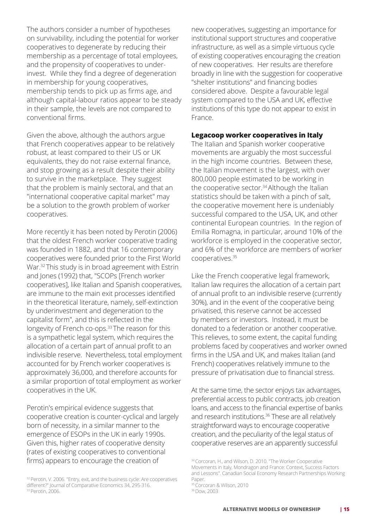The authors consider a number of hypotheses on survivability, including the potential for worker cooperatives to degenerate by reducing their membership as a percentage of total employees, and the propensity of cooperatives to underinvest. While they find a degree of degeneration in membership for young cooperatives, membership tends to pick up as firms age, and although capital-labour ratios appear to be steady in their sample, the levels are not compared to conventional firms.

Given the above, although the authors argue that French cooperatives appear to be relatively robust, at least compared to their US or UK equivalents, they do not raise external finance, and stop growing as a result despite their ability to survive in the marketplace. They suggest that the problem is mainly sectoral, and that an "international cooperative capital market" may be a solution to the growth problem of worker cooperatives.

More recently it has been noted by Perotin (2006) that the oldest French worker cooperative trading was founded in 1882, and that 16 contemporary cooperatives were founded prior to the First World War.32 This study is in broad agreement with Estrin and Jones (1992) that, "SCOPs [French worker cooperatives], like Italian and Spanish cooperatives, are immune to the main exit processes identified in the theoretical literature, namely, self-extinction by underinvestment and degeneration to the capitalist form", and this is reflected in the longevity of French co-ops.<sup>33</sup> The reason for this is a sympathetic legal system, which requires the allocation of a certain part of annual profit to an indivisible reserve. Nevertheless, total employment accounted for by French worker cooperatives is approximately 36,000, and therefore accounts for a similar proportion of total employment as worker cooperatives in the UK.

Perotin's empirical evidence suggests that cooperative creation is counter-cyclical and largely born of necessity, in a similar manner to the emergence of ESOPs in the UK in early 1990s. Given this, higher rates of cooperative density (rates of existing cooperatives to conventional firms) appears to encourage the creation of

new cooperatives, suggesting an importance for institutional support structures and cooperative infrastructure, as well as a simple virtuous cycle of existing cooperatives encouraging the creation of new cooperatives. Her results are therefore broadly in line with the suggestion for cooperative "shelter institutions" and financing bodies considered above. Despite a favourable legal system compared to the USA and UK, effective institutions of this type do not appear to exist in France.

### **Legacoop worker cooperatives in Italy**

The Italian and Spanish worker cooperative movements are arguably the most successful in the high income countries. Between these, the Italian movement is the largest, with over 800,000 people estimated to be working in the cooperative sector.<sup>34</sup> Although the Italian statistics should be taken with a pinch of salt, the cooperative movement here is undeniably successful compared to the USA, UK, and other continental European countries. In the region of Emilia Romagna, in particular, around 10% of the workforce is employed in the cooperative sector, and 6% of the workforce are members of worker cooperatives.35

Like the French cooperative legal framework, Italian law requires the allocation of a certain part of annual profit to an indivisible reserve (currently 30%), and in the event of the cooperative being privatised, this reserve cannot be accessed by members or investors. Instead, it must be donated to a federation or another cooperative. This relieves, to some extent, the capital funding problems faced by cooperatives and worker owned firms in the USA and UK, and makes Italian (and French) cooperatives relatively immune to the pressure of privatisation due to financial stress.

At the same time, the sector enjoys tax advantages, preferential access to public contracts, job creation loans, and access to the financial expertise of banks and research institutions.<sup>36</sup> These are all relatively straightforward ways to encourage cooperative creation, and the peculiarity of the legal status of cooperative reserves are an apparently successful

<sup>32</sup> Perotin, V. 2006. "Entry, exit, and the business cycle: Are cooperatives different?" Journal of Comparative Economics 34, 295-316. <sup>33</sup>Perotin, 2006.

<sup>34</sup> Corcoran, H., and Wilson, D. 2010. "The Worker Cooperative Movements in Italy, Mondragon and France: Context, Success Factors and Lessons". Canadian Social Economy Research Partnerships Working Paper.

<sup>&</sup>lt;sup>35</sup> Corcoran & Wilson, 2010 36 Dow, 2003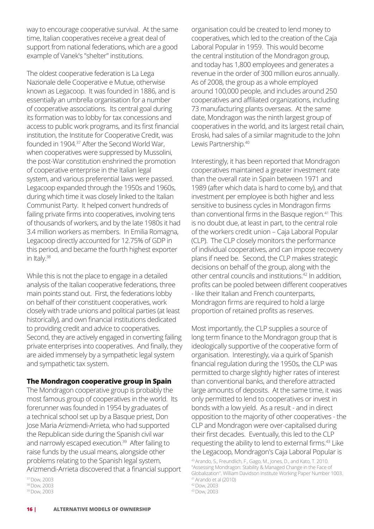way to encourage cooperative survival. At the same time, Italian cooperatives receive a great deal of support from national federations, which are a good example of Vanek's "shelter" institutions.

The oldest cooperative federation is La Lega Nazionale delle Cooperative e Mutue, otherwise known as Legacoop. It was founded in 1886, and is essentially an umbrella organisation for a number of cooperative associations. Its central goal during its formation was to lobby for tax concessions and access to public work programs, and its first financial institution, the Institute for Cooperative Credit, was founded in 1904.<sup>37</sup> After the Second World War, when cooperatives were suppressed by Mussolini, the post-War constitution enshrined the promotion of cooperative enterprise in the Italian legal system, and various preferential laws were passed. Legacoop expanded through the 1950s and 1960s, during which time it was closely linked to the Italian Communist Party. It helped convert hundreds of failing private firms into cooperatives, involving tens of thousands of workers, and by the late 1980s it had 3.4 million workers as members. In Emilia Romagna, Legacoop directly accounted for 12.75% of GDP in this period, and became the fourth highest exporter in Italy.<sup>38</sup>

While this is not the place to engage in a detailed analysis of the Italian cooperative federations, three main points stand out. First, the federations lobby on behalf of their constituent cooperatives, work closely with trade unions and political parties (at least historically), and own financial institutions dedicated to providing credit and advice to cooperatives. Second, they are actively engaged in converting failing private enterprises into cooperatives. And finally, they are aided immensely by a sympathetic legal system and sympathetic tax system.

#### **The Mondragon cooperative group in Spain**

The Mondragon cooperative group is probably the most famous group of cooperatives in the world. Its forerunner was founded in 1954 by graduates of a technical school set up by a Basque priest, Don Jose Maria Arizmendi-Arrieta, who had supported the Republican side during the Spanish civil war and narrowly escaped execution.<sup>39</sup> After failing to raise funds by the usual means, alongside other problems relating to the Spanish legal system, Arizmendi-Arrieta discovered that a financial support

<sup>37</sup>Dow, 2003 <sup>38</sup> Dow, 2003 39 Dow, 2003

organisation could be created to lend money to cooperatives, which led to the creation of the Caja Laboral Popular in 1959. This would become the central institution of the Mondragon group, and today has 1,800 employees and generates a revenue in the order of 300 million euros annually. As of 2008, the group as a whole employed around 100,000 people, and includes around 250 cooperatives and affiliated organizations, including 73 manufacturing plants overseas. At the same date, Mondragon was the ninth largest group of cooperatives in the world, and its largest retail chain, Eroski, had sales of a similar magnitude to the John Lewis Partnership.40

Interestingly, it has been reported that Mondragon cooperatives maintained a greater investment rate than the overall rate in Spain between 1971 and 1989 (after which data is hard to come by), and that investment per employee is both higher and less sensitive to business cycles in Mondragon firms than conventional firms in the Basque region.41 This is no doubt due, at least in part, to the central role of the workers credit union – Caja Laboral Popular (CLP). The CLP closely monitors the performance of individual cooperatives, and can impose recovery plans if need be. Second, the CLP makes strategic decisions on behalf of the group, along with the other central councils and institutions.42 In addition, profits can be pooled between different cooperatives - like their Italian and French counterparts, Mondragon firms are required to hold a large proportion of retained profits as reserves.

Most importantly, the CLP supplies a source of long term finance to the Mondragon group that is ideologically supportive of the cooperative form of organisation. Interestingly, via a quirk of Spanish financial regulation during the 1950s, the CLP was permitted to charge slightly higher rates of interest than conventional banks, and therefore attracted large amounts of deposits. At the same time, it was only permitted to lend to cooperatives or invest in bonds with a low yield. As a result - and in direct opposition to the majority of other cooperatives - the CLP and Mondragon were over-capitalised during their first decades. Eventually, this led to the CLP requesting the ability to lend to external firms.<sup>43</sup> Like the Legacoop, Mondragon's Caja Laboral Popular is

<sup>40</sup> Arando, S., Freundlich, F., Gago, M., Jones, D., and Kato, T. 2010. "Assessing Mondragon: Stability & Managed Change in the Face of Globalization". William Davidson Institute Working Paper Number 1003. <sup>41</sup>Arando et al (2010)

<sup>42</sup>Dow, 2003

<sup>43</sup> Dow, 2003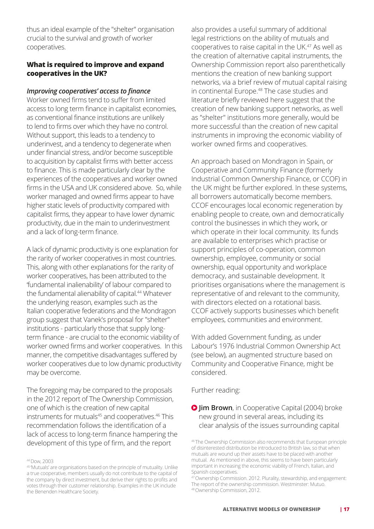thus an ideal example of the "shelter" organisation crucial to the survival and growth of worker cooperatives.

### **What is required to improve and expand cooperatives in the UK?**

#### *Improving cooperatives' access to finance*

Worker owned firms tend to suffer from limited access to long term finance in capitalist economies, as conventional finance institutions are unlikely to lend to firms over which they have no control. Without support, this leads to a tendency to underinvest, and a tendency to degenerate when under financial stress, and/or become susceptible to acquisition by capitalist firms with better access to finance. This is made particularly clear by the experiences of the cooperatives and worker owned firms in the USA and UK considered above. So, while worker managed and owned firms appear to have higher static levels of productivity compared with capitalist firms, they appear to have lower dynamic productivity, due in the main to underinvestment and a lack of long-term finance.

A lack of dynamic productivity is one explanation for the rarity of worker cooperatives in most countries. This, along with other explanations for the rarity of worker cooperatives, has been attributed to the 'fundamental inalienability' of labour compared to the fundamental alienability of capital.<sup>44</sup> Whatever the underlying reason, examples such as the Italian cooperative federations and the Mondragon group suggest that Vanek's proposal for "shelter" institutions - particularly those that supply longterm finance - are crucial to the economic viability of worker owned firms and worker cooperatives. In this manner, the competitive disadvantages suffered by worker cooperatives due to low dynamic productivity may be overcome.

The foregoing may be compared to the proposals in the 2012 report of The Ownership Commission, one of which is the creation of new capital instruments for mutuals<sup>45</sup> and cooperatives.<sup>46</sup> This recommendation follows the identification of a lack of access to long-term finance hampering the development of this type of firm, and the report

also provides a useful summary of additional legal restrictions on the ability of mutuals and cooperatives to raise capital in the UK.<sup>47</sup> As well as the creation of alternative capital instruments, the Ownership Commission report also parenthetically mentions the creation of new banking support networks, via a brief review of mutual capital raising in continental Europe.48 The case studies and literature briefly reviewed here suggest that the creation of new banking support networks, as well as "shelter" institutions more generally, would be more successful than the creation of new capital instruments in improving the economic viability of worker owned firms and cooperatives.

An approach based on Mondragon in Spain, or Cooperative and Community Finance (formerly Industrial Common Ownership Finance, or CCOF) in the UK might be further explored. In these systems, all borrowers automatically become members. CCOF encourages local economic regeneration by enabling people to create, own and democratically control the businesses in which they work, or which operate in their local community. Its funds are available to enterprises which practise or support principles of co-operation, common ownership, employee, community or social ownership, equal opportunity and workplace democracy, and sustainable development. It prioritises organisations where the management is representative of and relevant to the community, with directors elected on a rotational basis. CCOF actively supports businesses which benefit employees, communities and environment.

With added Government funding, as under Labour's 1976 Industrial Common Ownership Act (see below), an augmented structure based on Community and Cooperative Finance, might be considered.

Further reading:

**O Jim Brown**, in Cooperative Capital (2004) broke new ground in several areas, including its clear analysis of the issues surrounding capital

<sup>44</sup>Dow, 2003

<sup>45</sup>'Mutuals' are organisations based on the principle of mutuality. Unlike a true cooperative, members usually do not contribute to the capital of the company by direct investment, but derive their rights to profits and votes through their customer relationship. Examples in the UK include the Benenden Healthcare Society.

<sup>46</sup> The Ownership Commission also recommends that European principle of disinterested distribution be introduced to British law, so that when mutuals are wound up their assets have to be placed with another mutual. As mentioned in above, this seems to have been particularly important in increasing the economic viability of French, Italian, and Spanish cooperatives.

<sup>47</sup> Ownership Commission. 2012. Plurality, stewardship, and engagement: The report of the ownership commission. Westminster: Mutuo. 48 Ownership Commission, 2012.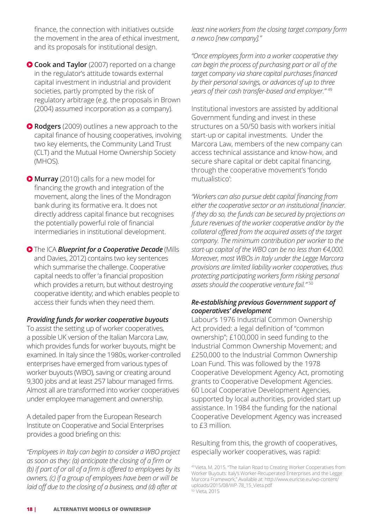finance, the connection with initiatives outside the movement in the area of ethical investment, and its proposals for institutional design.

- **Cook and Taylor** (2007) reported on a change in the regulator's attitude towards external capital investment in industrial and provident societies, partly prompted by the risk of regulatory arbitrage (e.g. the proposals in Brown (2004) assumed incorporation as a company).
- **Rodgers** (2009) outlines a new approach to the capital finance of housing cooperatives, involving two key elements, the Community Land Trust (CLT) and the Mutual Home Ownership Society (MHOS).

 **Murray** (2010) calls for a new model for financing the growth and integration of the movement, along the lines of the Mondragon bank during its formative era. It does not directly address capital finance but recognises the potentially powerful role of financial intermediaries in institutional development.

**O** The ICA **Blueprint for a Cooperative Decade** (Mills and Davies, 2012) contains two key sentences which summarise the challenge. Cooperative capital needs to offer 'a financial proposition which provides a return, but without destroying cooperative identity; and which enables people to access their funds when they need them.

#### *Providing funds for worker cooperative buyouts*

To assist the setting up of worker cooperatives, a possible UK version of the Italian Marcora Law, which provides funds for worker buyouts, might be examined. In Italy since the 1980s, worker-controlled enterprises have emerged from various types of worker buyouts (WBO), saving or creating around 9,300 jobs and at least 257 labour managed firms. Almost all are transformed into worker cooperatives under employee management and ownership.

A detailed paper from the European Research Institute on Cooperative and Social Enterprises provides a good briefing on this:

*"Employees in Italy can begin to consider a WBO project as soon as they: (a) anticipate the closing of a firm or (b) if part of or all of a firm is offered to employees by its owners, (c) if a group of employees have been or will be laid off due to the closing of a business, and (d) after at* 

*least nine workers from the closing target company form a newco [new company]."*

*"Once employees form into a worker cooperative they can begin the process of purchasing part or all of the target company via share capital purchases financed by their personal savings, or advances of up to three years of their cash transfer-based and employer."* <sup>49</sup>

Institutional investors are assisted by additional Government funding and invest in these structures on a 50/50 basis with workers initial start-up or capital investments. Under the Marcora Law, members of the new company can access technical assistance and know-how, and secure share capital or debt capital financing, through the cooperative movement's 'fondo mutualistico':

*"Workers can also pursue debt capital financing from either the cooperative sector or an institutional financier. If they do so, the funds can be secured by projections on future revenues of the worker cooperative and/or by the collateral offered from the acquired assets of the target company. The minimum contribution per worker to the start-up capital of the WBO can be no less than €4,000. Moreover, most WBOs in Italy under the Legge Marcora provisions are limited liability worker cooperatives, thus protecting participating workers form risking personal assets should the cooperative venture fail."* <sup>50</sup>

### *Re-establishing previous Government support of cooperatives' development*

Labour's 1976 Industrial Common Ownership Act provided: a legal definition of "common ownership"; £100,000 in seed funding to the Industrial Common Ownership Movement; and £250,000 to the Industrial Common Ownership Loan Fund. This was followed by the 1978 Cooperative Development Agency Act, promoting grants to Cooperative Development Agencies. 60 Local Cooperative Development Agencies, supported by local authorities, provided start up assistance. In 1984 the funding for the national Cooperative Development Agency was increased to £3 million.

Resulting from this, the growth of cooperatives, especially worker cooperatives, was rapid:

<sup>49</sup> Vieta, M. 2015. "The Italian Road to Creating Worker Cooperatives from Worker Buyouts: Italy's Worker-Recuperated Enterprises and the Legge Marcora Framework." Available at: http://www.euricse.eu/wp-content/ uploads/2015/08/WP-78\_15\_Vieta.pdf 50 Vieta, 2015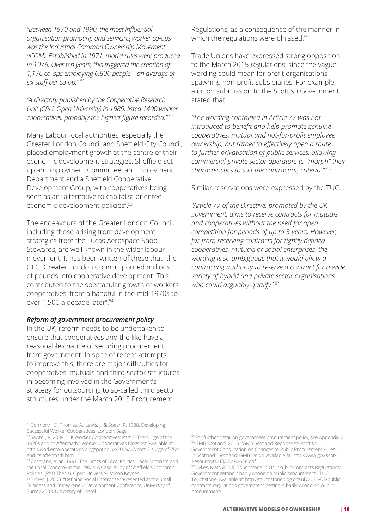*"Between 1970 and 1990, the most influential organisation promoting and servicing worker co-ops was the Industrial Common Ownership Movement (ICOM). Established in 1971, model rules were produced in 1976. Over ten years, this triggered the creation of 1,176 co-ops employing 6,900 people – an average of six staff per co-op."* 51

*"A directory published by the Cooperative Research Unit (CRU. Open University) in 1989, listed 1400 worker cooperatives, probably the highest figure recorded."* <sup>52</sup>

Many Labour local authorities, especially the Greater London Council and Sheffield City Council, placed employment growth at the centre of their economic development strategies. Sheffield set up an Employment Committee, an Employment Department and a Sheffield Cooperative Development Group, with cooperatives being seen as an "alternative to capitalist-oriented economic development policies".53

The endeavours of the Greater London Council, including those arising from development strategies from the Lucas Aerospace Shop Stewards, are well known in the wider labour movement. It has been written of these that "the GLC [Greater London Council] poured millions of pounds into cooperative development. This contributed to the spectacular growth of workers' cooperatives, from a handful in the mid-1970s to over 1,500 a decade later".<sup>54</sup>

#### *Reform of government procurement policy*

In the UK, reform needs to be undertaken to ensure that cooperatives and the like have a reasonable chance of securing procurement from government. In spite of recent attempts to improve this, there are major difficulties for cooperatives, mutuals and third sector structures in becoming involved in the Government's strategy for outsourcing to so-called third sector structures under the March 2015 Procurement

51 Cornforth, C., Thomas, A., Lewis, J., & Spear, R. 1988. Developing Successful Worker Cooperatives. London: Sage

Regulations, as a consequence of the manner in which the regulations were phrased.<sup>55</sup>

Trade Unions have expressed strong opposition to the March 2015 regulations, since the vague wording could mean for profit organisations spawning non-profit subsidiaries. For example, a union submission to the Scottish Government stated that:

*"The wording contained in Article 77 was not introduced to benefit and help promote genuine cooperatives, mutual and not-for-profit employee ownership, but rather to effectively open a route to further privatisation of public services, allowing commercial private sector operators to "morph" their characteristics to suit the contracting criteria."* <sup>56</sup>

Similar reservations were expressed by the TUC:

*"Article 77 of the Directive, promoted by the UK government, aims to reserve contracts for mutuals and cooperatives without the need for open competition for periods of up to 3 years. However, far from reserving contracts for tightly defined cooperatives, mutuals or social enterprises, the wording is so ambiguous that it would allow a contracting authority to reserve a contract for a wide variety of hybrid and private sector organisations who could arguably qualify".*<sup>57</sup>

<sup>55</sup>For further detail on government procurement policy, see Appendix 2. <sup>56</sup>GMB Scotland. 2015. "GMB Scotland Reponse to Scottish Government Consultation on Changes to Public Procurement Rules in Scotland." Scotland: GMB Union. Available at: http://www.gov.scot/ Resource/0048/00482638.pdf

<sup>52</sup> Sawtell, R. 2009. "UK Worker Cooperatives: Part 2: The Surge of the 1970s and its Aftermath." Worker Cooperatives Blogspot. Available at: http://workerco-operatives.blogspot.co.uk/2009/07/part-2-surge-of-70sand-its-aftermath.html

<sup>53</sup>Cochrane, Allan. 1991. The Limits of Local Politics: Local Socialism and the Local Economy in the 1980s: A Case Study of Sheffield's Economic Policies. (PhD Thesis). Open University, Milton Keynes.

<sup>54</sup> Brown, I. 2003. "Defining Social Enterprise." Presented at the Small Business and Entrepreneur Development Conference, University of Surrey 2003, University of Bristol.

<sup>57</sup>Dykes, Matt, & TUC Touchstone. 2015. "Public Contracts Regulations: Government getting it badly wrong on public procurement." TUC Touchstone. Available at: http://touchstoneblog.org.uk/2015/03/publiccontracts-regulations-government-getting-it-badly-wrong-on-publicprocurement/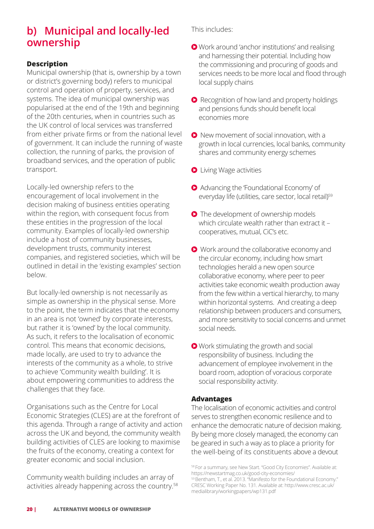# **b) Municipal and locally-led ownership**

# **Description**

Municipal ownership (that is, ownership by a town or district's governing body) refers to municipal control and operation of property, services, and systems. The idea of municipal ownership was popularised at the end of the 19th and beginning of the 20th centuries, when in countries such as the UK control of local services was transferred from either private firms or from the national level of government. It can include the running of waste collection, the running of parks, the provision of broadband services, and the operation of public transport.

Locally-led ownership refers to the encouragement of local involvement in the decision making of business entities operating within the region, with consequent focus from these entities in the progression of the local community. Examples of locally-led ownership include a host of community businesses, development trusts, community interest companies, and registered societies, which will be outlined in detail in the 'existing examples' section below.

But locally-led ownership is not necessarily as simple as ownership in the physical sense. More to the point, the term indicates that the economy in an area is not 'owned' by corporate interests, but rather it is 'owned' by the local community. As such, it refers to the localisation of economic control. This means that economic decisions, made locally, are used to try to advance the interests of the community as a whole, to strive to achieve 'Community wealth building'. It is about empowering communities to address the challenges that they face.

Organisations such as the Centre for Local Economic Strategies (CLES) are at the forefront of this agenda. Through a range of activity and action across the UK and beyond, the community wealth building activities of CLES are looking to maximise the fruits of the economy, creating a context for greater economic and social inclusion.

Community wealth building includes an array of activities already happening across the country.<sup>58</sup> This includes:

- Work around 'anchor institutions' and realising and harnessing their potential. Including how the commissioning and procuring of goods and services needs to be more local and flood through local supply chains
- Recognition of how land and property holdings and pensions funds should benefit local economies more
- **O** New movement of social innovation, with a growth in local currencies, local banks, community shares and community energy schemes
- **O** Living Wage activities
- Advancing the 'Foundational Economy' of everyday life (utilities, care sector, local retail)<sup>59</sup>
- **O** The development of ownership models which circulate wealth rather than extract it – cooperatives, mutual, CiC's etc.
- Work around the collaborative economy and the circular economy, including how smart technologies herald a new open source collaborative economy, where peer to peer activities take economic wealth production away from the few within a vertical hierarchy, to many within horizontal systems. And creating a deep relationship between producers and consumers, and more sensitivity to social concerns and unmet social needs.
- Work stimulating the growth and social responsibility of business. Including the advancement of employee involvement in the board room, adoption of voracious corporate social responsibility activity.

# **Advantages**

The localisation of economic activities and control serves to strengthen economic resilience and to enhance the democratic nature of decision making. By being more closely managed, the economy can be geared in such a way as to place a priority for the well-being of its constituents above a devout

<sup>58</sup> For a summary, see New Start. "Good City Economies". Available at: https://newstartmag.co.uk/good-city-economies/

<sup>&</sup>lt;sup>59</sup> Bentham, T., et al. 2013. "Manifesto for the Foundational Economy." CRESC Working Paper No. 131. Available at: http://www.cresc.ac.uk/ medialibrary/workingpapers/wp131.pdf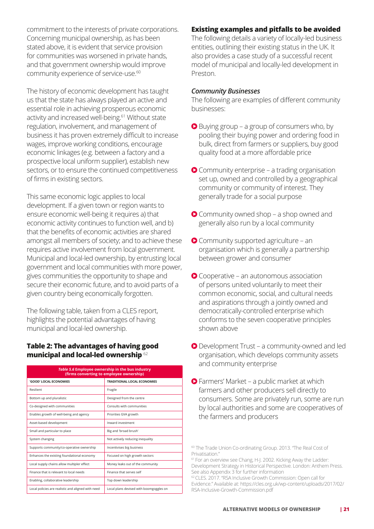commitment to the interests of private corporations. Concerning municipal ownership, as has been stated above, it is evident that service provision for communities was worsened in private hands, and that government ownership would improve community experience of service-use.<sup>60</sup>

The history of economic development has taught us that the state has always played an active and essential role in achieving prosperous economic activity and increased well-being.<sup>61</sup> Without state regulation, involvement, and management of business it has proven extremely difficult to increase wages, improve working conditions, encourage economic linkages (e.g. between a factory and a prospective local uniform supplier), establish new sectors, or to ensure the continued competitiveness of firms in existing sectors.

This same economic logic applies to local development. If a given town or region wants to ensure economic well-being it requires a) that economic activity continues to function well, and b) that the benefits of economic activities are shared amongst all members of society; and to achieve these requires active involvement from local government. Municipal and local-led ownership, by entrusting local government and local communities with more power, gives communities the opportunity to shape and secure their economic future, and to avoid parts of a given country being economically forgotten.

The following table, taken from a CLES report, highlights the potential advantages of having municipal and local-led ownership.

# **Table 2: The advantages of having good municipal and local-led ownership** <sup>62</sup>

| Table 5.6 Employee ownership in the bus industry<br>(firms converting to employee ownership) |                                         |  |  |  |
|----------------------------------------------------------------------------------------------|-----------------------------------------|--|--|--|
| 'GOOD' LOCAL ECONOMIES                                                                       | <b>TRADITIONAL LOCAL ECONOMIES</b>      |  |  |  |
| Resilient                                                                                    | Fragile                                 |  |  |  |
| Bottom up and pluralistic                                                                    | Designed from the centre                |  |  |  |
| Co-designed with communities                                                                 | Consults with communities               |  |  |  |
| Enables growth of well-being and agency                                                      | Priorities GVA growth                   |  |  |  |
| Asset-based development                                                                      | Inward investment                       |  |  |  |
| Small and particular to place                                                                | Big and 'broad brush'                   |  |  |  |
| System changing                                                                              | Not actively reducing inequality        |  |  |  |
| Supports community/co-operative ownership                                                    | Incentivises big business               |  |  |  |
| Enhances the existing foundational economy                                                   | Focused on high growth sectors          |  |  |  |
| Local supply chains allow multipler effect                                                   | Money leaks out of the community        |  |  |  |
| Finance that is relevant to local needs                                                      | Finance that serves self                |  |  |  |
| Enabling, collaborative leadership                                                           | Top down leadership                     |  |  |  |
| Local policies are realistic and aligned with need                                           | Local plans devised with boomgoggles on |  |  |  |

# **Existing examples and pitfalls to be avoided**

The following details a variety of locally-led business entities, outlining their existing status in the UK. It also provides a case study of a successful recent model of municipal and locally-led development in Preston.

#### *Community Businesses*

The following are examples of different community businesses:

- $\bullet$  Buying group a group of consumers who, by pooling their buying power and ordering food in bulk, direct from farmers or suppliers, buy good quality food at a more affordable price
- Community enterprise a trading organisation set up, owned and controlled by a geographical community or community of interest. They generally trade for a social purpose
- Community owned shop a shop owned and generally also run by a local community
- Community supported agriculture an organisation which is generally a partnership between grower and consumer
- Cooperative an autonomous association of persons united voluntarily to meet their common economic, social, and cultural needs and aspirations through a jointly owned and democratically-controlled enterprise which conforms to the seven cooperative principles shown above
- Development Trust a community-owned and led organisation, which develops community assets and community enterprise
- Farmers' Market a public market at which farmers and other producers sell directly to consumers. Some are privately run, some are run by local authorities and some are cooperatives of the farmers and producers

<sup>60</sup> The Trade Union Co-ordinating Group. 2013. "The Real Cost of Privatisation<sup>1</sup>

<sup>&</sup>lt;sup>61</sup> For an overview see Chang, H-J. 2002. Kicking Away the Ladder: Development Strategy in Historical Perspective. London: Anthem Press. See also Appendix 3 for further information

<sup>62</sup>CLES. 2017. "RSA Inclusive Growth Commission: Open call for Evidence." Available at: https://cles.org.uk/wp-content/uploads/2017/02/ RSA-Inclusive-Growth-Commission.pdf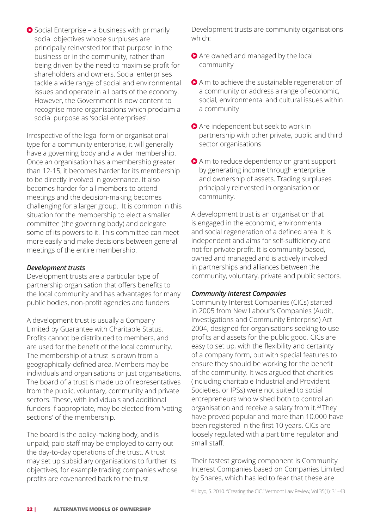● Social Enterprise – a business with primarily social objectives whose surpluses are principally reinvested for that purpose in the business or in the community, rather than being driven by the need to maximise profit for shareholders and owners. Social enterprises tackle a wide range of social and environmental issues and operate in all parts of the economy. However, the Government is now content to recognise more organisations which proclaim a social purpose as 'social enterprises'.

Irrespective of the legal form or organisational type for a community enterprise, it will generally have a governing body and a wider membership. Once an organisation has a membership greater than 12-15, it becomes harder for its membership to be directly involved in governance. It also becomes harder for all members to attend meetings and the decision-making becomes challenging for a larger group. It is common in this situation for the membership to elect a smaller committee (the governing body) and delegate some of its powers to it. This committee can meet more easily and make decisions between general meetings of the entire membership.

### *Development trusts*

Development trusts are a particular type of partnership organisation that offers benefits to the local community and has advantages for many public bodies, non-profit agencies and funders.

A development trust is usually a Company Limited by Guarantee with Charitable Status. Profits cannot be distributed to members, and are used for the benefit of the local community. The membership of a trust is drawn from a geographically-defined area. Members may be individuals and organisations or just organisations. The board of a trust is made up of representatives from the public, voluntary, community and private sectors. These, with individuals and additional funders if appropriate, may be elected from 'voting sections' of the membership.

The board is the policy-making body, and is unpaid; paid staff may be employed to carry out the day-to-day operations of the trust. A trust may set up subsidiary organisations to further its objectives, for example trading companies whose profits are covenanted back to the trust.

Development trusts are community organisations which:

- Are owned and managed by the local community
- Aim to achieve the sustainable regeneration of a community or address a range of economic, social, environmental and cultural issues within a community
- **Are independent but seek to work in** partnership with other private, public and third sector organisations
- Aim to reduce dependency on grant support by generating income through enterprise and ownership of assets. Trading surpluses principally reinvested in organisation or community.

A development trust is an organisation that is engaged in the economic, environmental and social regeneration of a defined area. It is independent and aims for self-sufficiency and not for private profit. It is community based, owned and managed and is actively involved in partnerships and alliances between the community, voluntary, private and public sectors.

# *Community Interest Companies*

Community Interest Companies (CICs) started in 2005 from New Labour's Companies (Audit, Investigations and Community Enterprise) Act 2004, designed for organisations seeking to use profits and assets for the public good. CICs are easy to set up, with the flexibility and certainty of a company form, but with special features to ensure they should be working for the benefit of the community. It was argued that charities (including charitable Industrial and Provident Societies, or IPSs) were not suited to social entrepreneurs who wished both to control an organisation and receive a salary from it.63 They have proved popular and more than 10,000 have been registered in the first 10 years. CICs are loosely regulated with a part time regulator and small staff.

Their fastest growing component is Community Interest Companies based on Companies Limited by Shares, which has led to fear that these are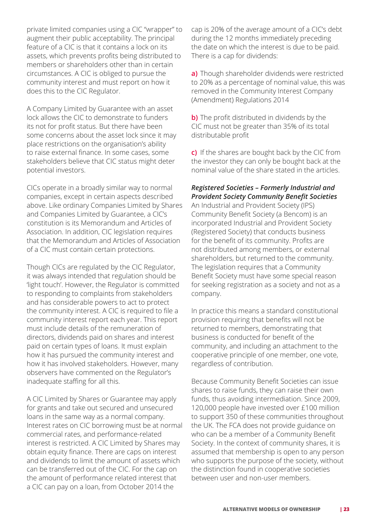private limited companies using a CIC "wrapper" to augment their public acceptability. The principal feature of a CIC is that it contains a lock on its assets, which prevents profits being distributed to members or shareholders other than in certain circumstances. A CIC is obliged to pursue the community interest and must report on how it does this to the CIC Regulator.

A Company Limited by Guarantee with an asset lock allows the CIC to demonstrate to funders its not for profit status. But there have been some concerns about the asset lock since it may place restrictions on the organisation's ability to raise external finance. In some cases, some stakeholders believe that CIC status might deter potential investors.

CICs operate in a broadly similar way to normal companies, except in certain aspects described above. Like ordinary Companies Limited by Shares and Companies Limited by Guarantee, a CIC's constitution is its Memorandum and Articles of Association. In addition, CIC legislation requires that the Memorandum and Articles of Association of a CIC must contain certain protections.

Though CICs are regulated by the CIC Regulator, it was always intended that regulation should be 'light touch'. However, the Regulator is committed to responding to complaints from stakeholders and has considerable powers to act to protect the community interest. A CIC is required to file a community interest report each year. This report must include details of the remuneration of directors, dividends paid on shares and interest paid on certain types of loans. It must explain how it has pursued the community interest and how it has involved stakeholders. However, many observers have commented on the Regulator's inadequate staffing for all this.

A CIC Limited by Shares or Guarantee may apply for grants and take out secured and unsecured loans in the same way as a normal company. Interest rates on CIC borrowing must be at normal commercial rates, and performance-related interest is restricted. A CIC Limited by Shares may obtain equity finance. There are caps on interest and dividends to limit the amount of assets which can be transferred out of the CIC. For the cap on the amount of performance related interest that a CIC can pay on a loan, from October 2014 the

cap is 20% of the average amount of a CIC's debt during the 12 months immediately preceding the date on which the interest is due to be paid. There is a cap for dividends:

**a)** Though shareholder dividends were restricted to 20% as a percentage of nominal value, this was removed in the Community Interest Company (Amendment) Regulations 2014

**b)** The profit distributed in dividends by the CIC must not be greater than 35% of its total distributable profit

**c)** If the shares are bought back by the CIC from the investor they can only be bought back at the nominal value of the share stated in the articles.

### *Registered Societies – Formerly Industrial and Provident Society Community Benefit Societies*

An Industrial and Provident Society (IPS) Community Benefit Society (a Bencom) is an incorporated Industrial and Provident Society (Registered Society) that conducts business for the benefit of its community. Profits are not distributed among members, or external shareholders, but returned to the community. The legislation requires that a Community Benefit Society must have some special reason for seeking registration as a society and not as a company.

In practice this means a standard constitutional provision requiring that benefits will not be returned to members, demonstrating that business is conducted for benefit of the community, and including an attachment to the cooperative principle of one member, one vote, regardless of contribution.

Because Community Benefit Societies can issue shares to raise funds, they can raise their own funds, thus avoiding intermediation. Since 2009, 120,000 people have invested over £100 million to support 350 of these communities throughout the UK. The FCA does not provide guidance on who can be a member of a Community Benefit Society. In the context of community shares, it is assumed that membership is open to any person who supports the purpose of the society, without the distinction found in cooperative societies between user and non-user members.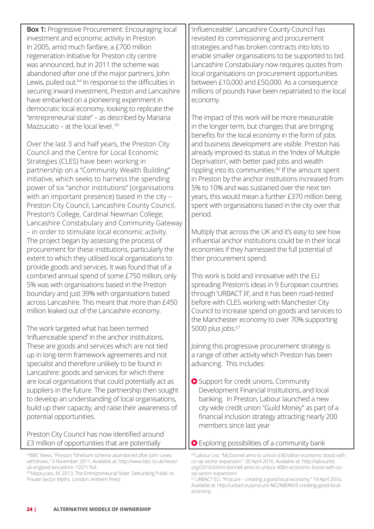**Box 1:** Progressive Procurement: Encouraging local investment and economic activity in Preston In 2005, amid much fanfare, a £700 million regeneration initiative for Preston city centre was announced, but in 2011 the scheme was abandoned after one of the major partners, John Lewis, pulled out.<sup>64</sup> In response to the difficulties in securing inward investment, Preston and Lancashire have embarked on a pioneering experiment in democratic local economy, looking to replicate the "entrepreneurial state" – as described by Mariana Mazzucato – at the local level.  $65$ 

Over the last 3 and half years, the Preston City Council and the Centre for Local Economic Strategies (CLES) have been working in partnership on a "Community Wealth Building" initiative, which seeks to harness the spending power of six "anchor institutions" (organisations with an important presence) based in the city – Preston City Council, Lancashire County Council, Preston's College, Cardinal Newman College, Lancashire Constabulary and Community Gateway – in order to stimulate local economic activity. The project began by assessing the process of procurement for these institutions, particularly the extent to which they utilised local organisations to provide goods and services. It was found that of a combined annual spend of some £750 million, only 5% was with organisations based in the Preston boundary and just 39% with organisations based across Lancashire. This meant that more than £450 million leaked out of the Lancashire economy.

The work targeted what has been termed 'influenceable spend' in the anchor institutions. These are goods and services which are not tied up in long-term framework agreements and not specialist and therefore unlikely to be found in Lancashire: goods and services for which there are local organisations that could potentially act as suppliers in the future. The partnership then sought to develop an understanding of local organisations, build up their capacity, and raise their awareness of potential opportunities.

Preston City Council has now identified around £3 million of opportunities that are potentially

<sup>65</sup> Mazzucato, M. 2013. The Entrepreneurial State: Debunking Public vs. Private Sector Myths. London: Anthem Press

'influenceable'. Lancashire County Council has revisited its commissioning and procurement strategies and has broken contracts into lots to enable smaller organisations to be supported to bid. Lancashire Constabulary now requires quotes from local organisations on procurement opportunities between £10,000 and £50,000. As a consequence millions of pounds have been repatriated to the local economy.

The impact of this work will be more measurable in the longer term, but changes that are bringing benefits for the local economy in the form of jobs and business development are visible. Preston has already improved its status in the 'Index of Multiple Deprivation', with better paid jobs and wealth rippling into its communities.<sup>66</sup> If the amount spent in Preston by the anchor institutions increased from 5% to 10% and was sustained over the next ten years, this would mean a further £370 million being spent with organisations based in the city over that period.

Multiply that across the UK and it's easy to see how influential anchor institutions could be in their local economies if they harnessed the full potential of their procurement spend.

This work is bold and innovative with the EU spreading Preston's ideas in 9 European countries through 'URBACT III', and it has been road-tested before with CLES working with Manchester City Council to increase spend on goods and services to the Manchester economy to over 70% supporting 5000 plus jobs.<sup>67</sup>

Joining this progressive procurement strategy is a range of other activity which Preston has been advancing. This includes:

- Support for credit unions, Community Development Financial Institutions, and local banking. In Preston, Labour launched a new city wide credit union "Guild Money" as part of a financial inclusion strategy attracting nearly 200 members since last year
- **O** Exploring possibilities of a community bank

<sup>64</sup>BBC News. "Preston Tithebarn scheme abandoned after John Lewis withdraws." 3 November 2011. Available at: http://www.bbc.co.uk/news/ uk-england-lancashire-15571764

<sup>66</sup>Labour List. "McDonnel aims to unlock £40 billion economic boost with co-op sector expansion." 20 April 2016. Available at: http://labourlist. org/2016/04/mcdonnell-aims-to-unlock-40bn-economic-boost-with-coop-sector-expansion/

<sup>67</sup>URBACT EU. "Procure – creating a good local economy." 19 April 2016. Available at: http://urbact.eu/procure-%E2%80%93-creating-good-localeconomy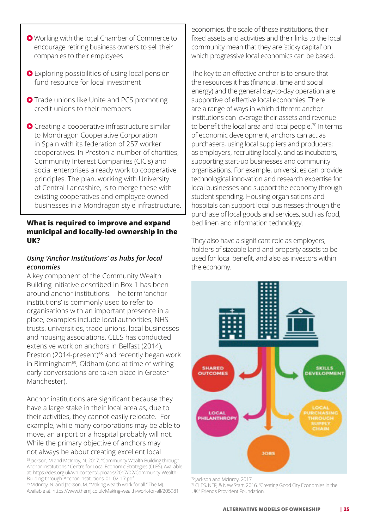- Working with the local Chamber of Commerce to encourage retiring business owners to sell their companies to their employees
- Exploring possibilities of using local pension fund resource for local investment
- **O** Trade unions like Unite and PCS promoting credit unions to their members
- Creating a cooperative infrastructure similar to Mondragon Cooperative Corporation in Spain with its federation of 257 worker cooperatives. In Preston a number of charities, Community Interest Companies (CIC's) and social enterprises already work to cooperative principles. The plan, working with University of Central Lancashire, is to merge these with existing cooperatives and employee owned businesses in a Mondragon style infrastructure.

# **What is required to improve and expand municipal and locally-led ownership in the UK?**

# *Using 'Anchor Institutions' as hubs for local economies*

A key component of the Community Wealth Building initiative described in Box 1 has been around anchor institutions. The term 'anchor institutions' is commonly used to refer to organisations with an important presence in a place, examples include local authorities, NHS trusts, universities, trade unions, local businesses and housing associations. CLES has conducted extensive work on anchors in Belfast (2014), Preston (2014-present)<sup>68</sup> and recently began work in Birmingham<sup>69</sup>, Oldham (and at time of writing early conversations are taken place in Greater Manchester).

Anchor institutions are significant because they have a large stake in their local area as, due to their activities, they cannot easily relocate. For example, while many corporations may be able to move, an airport or a hospital probably will not. While the primary objective of anchors may not always be about creating excellent local

68 Jackson, M and McInroy, N. 2017. "Community Wealth Building through Anchor Institutions." Centre for Local Economic Strategies (CLES). Available at: https://cles.org.uk/wp-content/uploads/2017/02/Community-Wealth-Building-through-Anchor-Institutions\_01\_02\_17.pdf 69 McInroy, N. and Jackson, M. "Making wealth work for all." The MJ.

Available at: https://www.themj.co.uk/Making-wealth-work-for-all/205981

economies, the scale of these institutions, their fixed assets and activities and their links to the local community mean that they are 'sticky capital' on which progressive local economics can be based.

The key to an effective anchor is to ensure that the resources it has (financial, time and social energy) and the general day-to-day operation are supportive of effective local economies. There are a range of ways in which different anchor institutions can leverage their assets and revenue to benefit the local area and local people.<sup>70</sup> In terms of economic development, anchors can act as purchasers, using local suppliers and producers; as employers, recruiting locally, and as incubators, supporting start-up businesses and community organisations. For example, universities can provide technological innovation and research expertise for local businesses and support the economy through student spending. Housing organisations and hospitals can support local businesses through the purchase of local goods and services, such as food, bed linen and information technology.

They also have a significant role as employers, holders of sizeable land and property assets to be used for local benefit, and also as investors within the economy.



<sup>70</sup> Jackson and McInroy, 2017

<sup>71</sup>CLES, NEF, & New Start. 2016. "Creating Good City Economies in the UK." Friends Provident Foundation.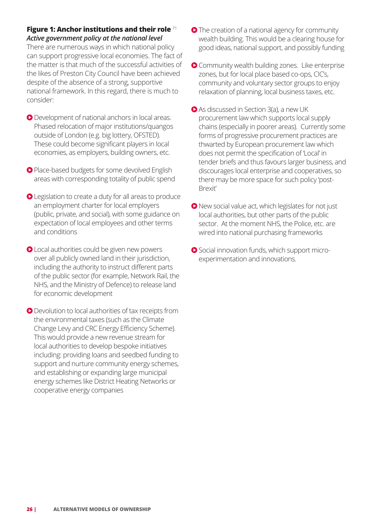### **Figure 1: Anchor institutions and their role** <sup>71</sup> *Active government policy at the national level*

There are numerous ways in which national policy can support progressive local economies. The fact of the matter is that much of the successful activities of the likes of Preston City Council have been achieved despite of the absence of a strong, supportive national framework. In this regard, there is much to consider:

- Development of national anchors in local areas. Phased relocation of major institutions/quangos outside of London (e.g. big lottery, OFSTED). These could become significant players in local economies, as employers, building owners, etc.
- Place-based budgets for some devolved English areas with corresponding totality of public spend
- **■** Legislation to create a duty for all areas to produce an employment charter for local employers (public, private, and social), with some guidance on expectation of local employees and other terms and conditions
- **O** Local authorities could be given new powers over all publicly owned land in their jurisdiction, including the authority to instruct different parts of the public sector (for example, Network Rail, the NHS, and the Ministry of Defence) to release land for economic development
- Devolution to local authorities of tax receipts from the environmental taxes (such as the Climate Change Levy and CRC Energy Efficiency Scheme). This would provide a new revenue stream for local authorities to develop bespoke initiatives including: providing loans and seedbed funding to support and nurture community energy schemes, and establishing or expanding large municipal energy schemes like District Heating Networks or cooperative energy companies
- **O** The creation of a national agency for community wealth building. This would be a clearing house for good ideas, national support, and possibly funding
- **O** Community wealth building zones. Like enterprise zones, but for local place based co-ops, CIC's, community and voluntary sector groups to enjoy relaxation of planning, local business taxes, etc.
- As discussed in Section 3(a), a new UK procurement law which supports local supply chains (especially in poorer areas). Currently some forms of progressive procurement practices are thwarted by European procurement law which does not permit the specification of 'Local' in tender briefs and thus favours larger business, and discourages local enterprise and cooperatives, so there may be more space for such policy 'post-Brexit'
- New social value act, which legislates for not just local authorities, but other parts of the public sector. At the moment NHS, the Police, etc. are wired into national purchasing frameworks
- Social innovation funds, which support microexperimentation and innovations.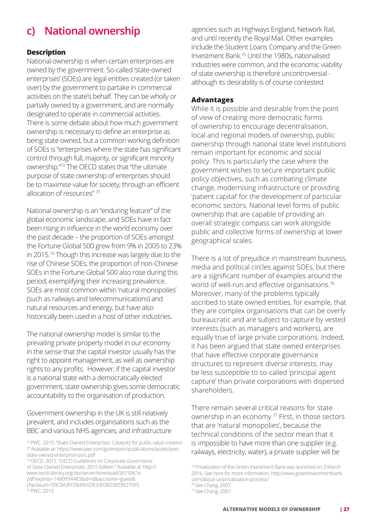# **c) National ownership**

### **Description**

National ownership is when certain enterprises are owned by the government. So-called 'state-owned enterprises' (SOEs) are legal entities created (or taken over) by the government to partake in commercial activities on the state's behalf. They can be wholly or partially owned by a government, and are normally designated to operate in commercial activities. There is some debate about how much government ownership is necessary to define an enterprise as being state owned, but a common working definition of SOEs is "enterprises where the state has significant control through full, majority, or significant minority ownership."72 The OECD states that "the ultimate purpose of state ownership of enterprises should be to maximise value for society, through an efficient allocation of resources" <sup>73</sup>

National ownership is an "enduring feature" of the global economic landscape, and SOEs have in fact been rising in influence in the world economy over the past decade – the proportion of SOEs amongst the Fortune Global 500 grew from 9% in 2005 to 23% in 2015.74 Though this increase was largely due to the rise of Chinese SOEs, the proportion of non-Chinese SOEs in the Fortune Global 500 also rose during this period, exemplifying their increasing prevalence. SOEs are most common within 'natural monopolies' (such as railways and telecommunications) and natural resources and energy, but have also historically been used in a host of other industries.

The national ownership model is similar to the prevailing private property model in our economy in the sense that the capital investor usually has the right to appoint management, as well as ownership rights to any profits. However, if the capital investor is a national state with a democratically elected government, state ownership gives some democratic accountability to the organisation of production.

Government ownership in the UK is still relatively prevalent, and includes organisations such as the BBC and various NHS agencies, and infrastructure

<sup>73</sup>OECD. 2015. "OECD Guidelines on Corporate Governance of State-Owned Enterprises: 2015 Edition." Available at: http:// www.oecd-ilibrary.org/docserver/download/2615061e. pdf?expires=1490954483&id=id&accname=guest& checksum=D9C0A3FCF84965DE33F0BD3EEBE275F5 74 PWC, 2015

agencies such as Highways England, Network Rail, and until recently the Royal Mail. Other examples include the Student Loans Company and the Green Investment Bank.75 Until the 1980s, nationalised industries were common, and the economic viability of state ownership is therefore uncontroversial although its desirability is of course contested.

### **Advantages**

While it is possible and desirable from the point of view of creating more democratic forms of ownership to encourage decentralisation, local and regional models of ownership, public ownership through national state level institutions remain important for economic and social policy. This is particularly the case where the government wishes to secure important public policy objectives, such as combating climate change, modernising infrastructure or providing 'patient capital' for the development of particular economic sectors. National level forms of public ownership that are capable of providing an overall strategic compass can work alongside public and collective forms of ownership at lower geographical scales.

There is a lot of prejudice in mainstream business, media and political circles against SOEs, but there are a significant number of examples around the world of well-run and effective organisations.<sup>76</sup> Moreover, many of the problems typically ascribed to state owned entities, for example, that they are complex organisations that can be overly bureaucratic and are subject to capture by vested interests (such as managers and workers), are equally true of large private corporations. Indeed, it has been argued that state owned enterprises that have effective corporate governance structures to represent diverse interests, may be less susceptible to so-called 'principal agent capture' than private corporations with dispersed shareholders.

There remain several critical reasons for state ownership in an economy.77 First, in those sectors that are 'natural monopolies', because the technical conditions of the sector mean that it is impossible to have more than one supplier (e.g. railways, electricity, water), a private supplier will be

<sup>72</sup>PWC. 2015. "State-Owned Enterprises: Catalysts for public value creation ?" Available at: https://www.pwc.com/gx/en/psrc/publications/assets/pwcstate-owned-enterprise-psrc.pdf

<sup>75</sup> Privatisation of the Green Investment Bank was launched on 3 March 2016. See here for more information: http://www.greeninvestmentbank. com/about-us/privatisation-process/ <sup>76</sup>See Chang, 2007.

<sup>77</sup>See Chang, 2007.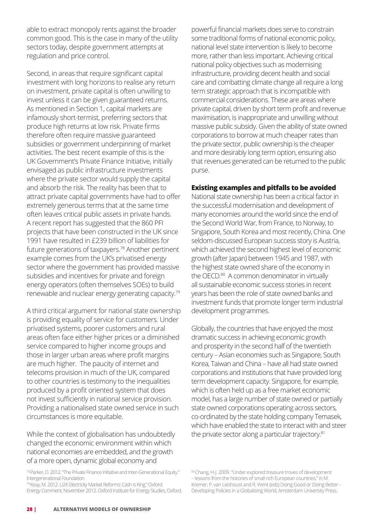able to extract monopoly rents against the broader common good. This is the case in many of the utility sectors today, despite government attempts at regulation and price control.

Second, in areas that require significant capital investment with long horizons to realise any return on investment, private capital is often unwilling to invest unless it can be given guaranteed returns. As mentioned in Section 1, capital markets are infamously short-termist, preferring sectors that produce high returns at low risk. Private firms therefore often require massive guaranteed subsidies or government underpinning of market activities. The best recent example of this is the UK Government's Private Finance Initiative, initially envisaged as public infrastructure investments where the private sector would supply the capital and absorb the risk. The reality has been that to attract private capital governments have had to offer extremely generous terms that at the same time often leaves critical public assets in private hands. A recent report has suggested that the 860 PFI projects that have been constructed in the UK since 1991 have resulted in £239 billion of liabilities for future generations of taxpayers.<sup>78</sup> Another pertinent example comes from the UK's privatised energy sector where the government has provided massive subsidies and incentives for private and foreign energy operators (often themselves SOEs) to build renewable and nuclear energy generating capacity.<sup>79</sup>

A third critical argument for national state ownership is providing equality of service for customers. Under privatised systems, poorer customers and rural areas often face either higher prices or a diminished service compared to higher income groups and those in larger urban areas where profit margins are much higher. The paucity of internet and telecoms provision in much of the UK, compared to other countries is testimony to the inequalities produced by a profit oriented system that does not invest sufficiently in national service provision. Providing a nationalised state owned service in such circumstances is more equitable.

While the context of globalisation has undoubtedly changed the economic environment within which national economies are embedded, and the growth of a more open, dynamic global economy and

79 Keay, M. 2012. U2K Electricity Market Reforms: Cash is King." Oxford Energy Comment, November 2012. Oxford Institute for Energy Studies, Oxford.

powerful financial markets does serve to constrain some traditional forms of national economic policy, national level state intervention is likely to become more, rather than less important. Achieving critical national policy objectives such as modernising infrastructure, providing decent health and social care and combatting climate change all require a long term strategic approach that is incompatible with commercial considerations. These are areas where private capital, driven by short term profit and revenue maximisation, is inappropriate and unwilling without massive public subsidy. Given the ability of state owned corporations to borrow at much cheaper rates than the private sector, public ownership is the cheaper and more desirably long term option, ensuring also that revenues generated can be returned to the public purse.

### **Existing examples and pitfalls to be avoided**

National state ownership has been a critical factor in the successful modernisation and development of many economies around the world since the end of the Second World War, from France, to Norway, to Singapore, South Korea and most recently, China. One seldom-discussed European success story is Austria, which achieved the second highest level of economic growth (after Japan) between 1945 and 1987, with the highest state owned share of the economy in the OECD.<sup>80</sup> A common denominator in virtually all sustainable economic success stories in recent years has been the role of state owned banks and investment funds that promote longer term industrial development programmes.

Globally, the countries that have enjoyed the most dramatic success in achieving economic growth and prosperity in the second half of the twentieth century – Asian economies such as Singapore, South Korea, Taiwan and China – have all had state owned corporations and institutions that have provided long term development capacity. Singapore, for example, which is often held up as a free market economic model, has a large number of state owned or partially state owned corporations operating across sectors, co-ordinated by the state holding company Temasek, which have enabled the state to interact with and steer the private sector along a particular trajectory.<sup>81</sup>

<sup>78</sup>Parker, D. 2012. "The Private Finance Initiative and Inter-Generational Equity." Intergenerational Foundation.

<sup>80</sup> Chang, H-J. 2009. "Under explored treasure troves of development – lessons from the histories of small rich European countries," in M. Kremer, P. van Lieshoust and R. Went (eds) Doing Good or Doing Better – Developing Policies in a Globalising World, Amsterdam University Press.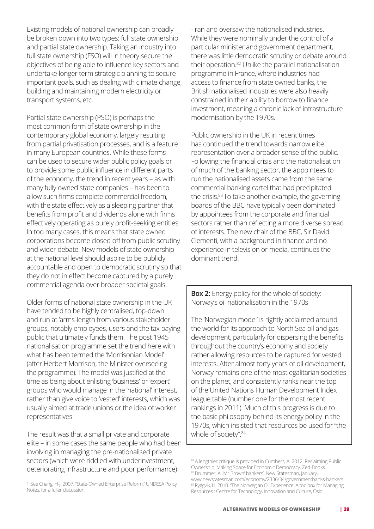Existing models of national ownership can broadly be broken down into two types: full state ownership and partial state ownership. Taking an industry into full state ownership (FSO) will in theory secure the objectives of being able to influence key sectors and undertake longer term strategic planning to secure important goals, such as dealing with climate change, building and maintaining modern electricity or transport systems, etc.

Partial state ownership (PSO) is perhaps the most common form of state ownership in the contemporary global economy, largely resulting from partial privatisation processes, and is a feature in many European countries. While these forms can be used to secure wider public policy goals or to provide some public influence in different parts of the economy, the trend in recent years – as with many fully owned state companies – has been to allow such firms complete commercial freedom, with the state effectively as a sleeping partner that benefits from profit and dividends alone with firms effectively operating as purely profit-seeking entities. In too many cases, this means that state owned corporations become closed off from public scrutiny and wider debate. New models of state ownership at the national level should aspire to be publicly accountable and open to democratic scrutiny so that they do not in effect become captured by a purely commercial agenda over broader societal goals.

Older forms of national state ownership in the UK have tended to be highly centralised, top-down and run at 'arms-length from various stakeholder groups, notably employees, users and the tax paying public that ultimately funds them. The post 1945 nationalisation programme set the trend here with what has been termed the 'Morrisonian Model' (after Herbert Morrison, the Minister overseeing the programme). The model was justified at the time as being about enlisting 'business' or 'expert' groups who would manage in the 'national' interest, rather than give voice to 'vested' interests, which was usually aimed at trade unions or the idea of worker representatives.

The result was that a small private and corporate elite – in some cases the same people who had been involving in managing the pre-nationalised private sectors (which were riddled with underinvestment, deteriorating infrastructure and poor performance)

81 See Chang, H-J. 2007. "State-Owned Enterprise Reform." UNDESA Policy Notes, for a fuller discussion.

- ran and oversaw the nationalised industries. While they were nominally under the control of a particular minister and government department, there was little democratic scrutiny or debate around their operation.82 Unlike the parallel nationalisation programme in France, where industries had access to finance from state owned banks, the British nationalised industries were also heavily constrained in their ability to borrow to finance investment, meaning a chronic lack of infrastructure modernisation by the 1970s.

Public ownership in the UK in recent times has continued the trend towards narrow elite representation over a broader sense of the public. Following the financial crisis and the nationalisation of much of the banking sector, the appointees to run the nationalised assets came from the same commercial banking cartel that had precipitated the crisis.<sup>83</sup> To take another example, the governing boards of the BBC have typically been dominated by appointees from the corporate and financial sectors rather than reflecting a more diverse spread of interests. The new chair of the BBC, Sir David Clementi, with a background in finance and no experience in television or media, continues the dominant trend.

**Box 2:** Energy policy for the whole of society: Norway's oil nationalisation in the 1970s

The 'Norwegian model' is rightly acclaimed around the world for its approach to North Sea oil and gas development, particularly for dispersing the benefits throughout the country's economy and society rather allowing resources to be captured for vested interests. After almost forty years of oil development, Norway remains one of the most egalitarian societies on the planet, and consistently ranks near the top of the United Nations Human Development Index league table (number one for the most recent rankings in 2011). Much of this progress is due to the basic philosophy behind its energy policy in the 1970s, which insisted that resources be used for "the whole of society".<sup>84</sup>

<sup>82</sup> A lengthier critique is provided in Cumbers, A. 2012. Reclaiming Public Ownership: Making Space for Economic Democracy. Zed-Books. 83 Brummer, A. 'Mr Brown' bankers', New Statesman, January, www.newstatesman.com/economy/2336/34/governmentbanks-bankers 84 Ryggvik, H. 2010. "The Norwegian Oil Experience: A toolbox for Managing Resources." Centre for Technology, Innovation and Culture, Oslo.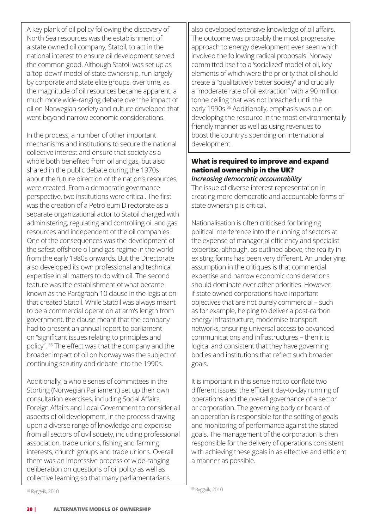A key plank of oil policy following the discovery of North Sea resources was the establishment of a state owned oil company, Statoil, to act in the national interest to ensure oil development served the common good. Although Statoil was set up as a 'top-down' model of state ownership, run largely by corporate and state elite groups, over time, as the magnitude of oil resources became apparent, a much more wide-ranging debate over the impact of oil on Norwegian society and culture developed that went beyond narrow economic considerations.

In the process, a number of other important mechanisms and institutions to secure the national collective interest and ensure that society as a whole both benefited from oil and gas, but also shared in the public debate during the 1970s about the future direction of the nation's resources, were created. From a democratic governance perspective, two institutions were critical. The first was the creation of a Petroleum Directorate as a separate organizational actor to Statoil charged with administering, regulating and controlling oil and gas resources and independent of the oil companies. One of the consequences was the development of the safest offshore oil and gas regime in the world from the early 1980s onwards. But the Directorate also developed its own professional and technical expertise in all matters to do with oil. The second feature was the establishment of what became known as the Paragraph 10 clause in the legislation that created Statoil. While Statoil was always meant to be a commercial operation at arm's length from government, the clause meant that the company had to present an annual report to parliament on "significant issues relating to principles and policy". 85 The effect was that the company and the broader impact of oil on Norway was the subject of continuing scrutiny and debate into the 1990s.

Additionally, a whole series of committees in the Storting (Norwegian Parliament) set up their own consultation exercises, including Social Affairs, Foreign Affairs and Local Government to consider all aspects of oil development, in the process drawing upon a diverse range of knowledge and expertise from all sectors of civil society, including professional association, trade unions, fishing and farming interests, church groups and trade unions. Overall there was an impressive process of wide-ranging deliberation on questions of oil policy as well as collective learning so that many parliamentarians

also developed extensive knowledge of oil affairs. The outcome was probably the most progressive approach to energy development ever seen which involved the following radical proposals. Norway committed itself to a 'socialized' model of oil, key elements of which were the priority that oil should create a "qualitatively better society" and crucially a "moderate rate of oil extraction" with a 90 million tonne ceiling that was not breached until the early 1990s.<sup>86</sup> Additionally, emphasis was put on developing the resource in the most environmentally friendly manner as well as using revenues to boost the country's spending on international development.

### **What is required to improve and expand national ownership in the UK?** *Increasing democratic accountability*

The issue of diverse interest representation in creating more democratic and accountable forms of state ownership is critical.

Nationalisation is often criticised for bringing political interference into the running of sectors at the expense of managerial efficiency and specialist expertise, although, as outlined above, the reality in existing forms has been very different. An underlying assumption in the critiques is that commercial expertise and narrow economic considerations should dominate over other priorities. However, if state owned corporations have important objectives that are not purely commercial – such as for example, helping to deliver a post-carbon energy infrastructure, modernise transport networks, ensuring universal access to advanced communications and infrastructures – then it is logical and consistent that they have governing bodies and institutions that reflect such broader goals.

It is important in this sense not to conflate two different issues: the efficient day-to-day running of operations and the overall governance of a sector or corporation. The governing body or board of an operation is responsible for the setting of goals and monitoring of performance against the stated goals. The management of the corporation is then responsible for the delivery of operations consistent with achieving these goals in as effective and efficient a manner as possible.

86 Ryggvik, 2010

<sup>85</sup>Ryggvik, 2010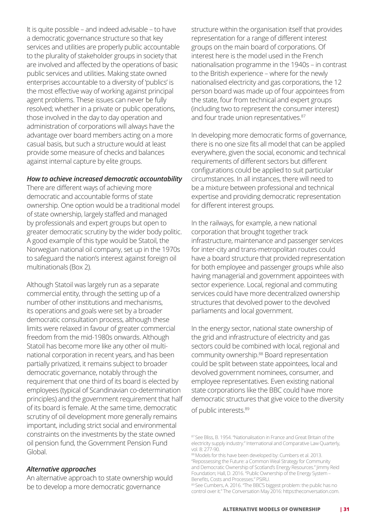It is quite possible – and indeed advisable – to have a democratic governance structure so that key services and utilities are properly public accountable to the plurality of stakeholder groups in society that are involved and affected by the operations of basic public services and utilities. Making state owned enterprises accountable to a diversity of 'publics' is the most effective way of working against principal agent problems. These issues can never be fully resolved; whether in a private or public operations, those involved in the day to day operation and administration of corporations will always have the advantage over board members acting on a more casual basis, but such a structure would at least provide some measure of checks and balances against internal capture by elite groups.

#### *How to achieve increased democratic accountability*

There are different ways of achieving more democratic and accountable forms of state ownership. One option would be a traditional model of state ownership, largely staffed and managed by professionals and expert groups but open to greater democratic scrutiny by the wider body politic. A good example of this type would be Statoil, the Norwegian national oil company, set up in the 1970s to safeguard the nation's interest against foreign oil multinationals (Box 2).

Although Statoil was largely run as a separate commercial entity, through the setting up of a number of other institutions and mechanisms, its operations and goals were set by a broader democratic consultation process, although these limits were relaxed in favour of greater commercial freedom from the mid-1980s onwards. Although Statoil has become more like any other oil multinational corporation in recent years, and has been partially privatized, it remains subject to broader democratic governance, notably through the requirement that one third of its board is elected by employees (typical of Scandinavian co-determination principles) and the government requirement that half of its board is female. At the same time, democratic scrutiny of oil development more generally remains important, including strict social and environmental constraints on the investments by the state owned oil pension fund, the Government Pension Fund Global.

# *Alternative approaches*

An alternative approach to state ownership would be to develop a more democratic governance

structure within the organisation itself that provides representation for a range of different interest groups on the main board of corporations. Of interest here is the model used in the French nationalisation programme in the 1940s – in contrast to the British experience – where for the newly nationalised electricity and gas corporations, the 12 person board was made up of four appointees from the state, four from technical and expert groups (including two to represent the consumer interest) and four trade union representatives.<sup>87</sup>

In developing more democratic forms of governance, there is no one size fits all model that can be applied everywhere, given the social, economic and technical requirements of different sectors but different configurations could be applied to suit particular circumstances. In all instances, there will need to be a mixture between professional and technical expertise and providing democratic representation for different interest groups.

In the railways, for example, a new national corporation that brought together track infrastructure, maintenance and passenger services for inter-city and trans-metropolitan routes could have a board structure that provided representation for both employee and passenger groups while also having managerial and government appointees with sector experience. Local, regional and commuting services could have more decentralized ownership structures that devolved power to the devolved parliaments and local government.

In the energy sector, national state ownership of the grid and infrastructure of electricity and gas sectors could be combined with local, regional and community ownership.88 Board representation could be split between state appointees, local and devolved government nominees, consumer, and employee representatives. Even existing national state corporations like the BBC could have more democratic structures that give voice to the diversity

of public interests.<sup>89</sup>

<sup>87</sup> See Bliss, B. 1954. "Nationalisation in France and Great Britain of the electricity supply industry." International and Comparative Law Quarterly, vol. 8: 277-90.

<sup>88</sup> Models for this have been developed by: Cumbers et al. 2013. "Repossessing the Future: a Common Weal Strategy for Community and Democratic Ownership of Scotland's Energy Resources." Jimmy Reid Foundation; Hall, D. 2016. "Public Ownership of the Energy System – Benefits, Costs and Processes." PSIRU.

<sup>89</sup> See Cumbers, A. 2016. "The BBC'S biggest problem: the public has no control over it." The Conversation May 2016: https:theconversation.com.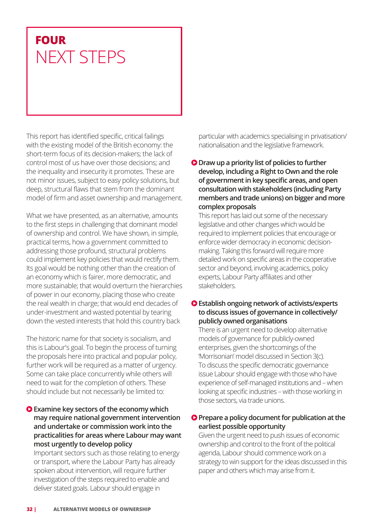# **FOUR** NEXT STEPS

This report has identified specific, critical failings with the existing model of the British economy: the short-term focus of its decision-makers; the lack of control most of us have over those decisions; and the inequality and insecurity it promotes. These are not minor issues, subject to easy policy solutions, but deep, structural flaws that stem from the dominant model of firm and asset ownership and management.

What we have presented, as an alternative, amounts to the first steps in challenging that dominant model of ownership and control. We have shown, in simple, practical terms, how a government committed to addressing those profound, structural problems could implement key policies that would rectify them. Its goal would be nothing other than the creation of an economy which is fairer, more democratic, and more sustainable; that would overturn the hierarchies of power in our economy, placing those who create the real wealth in charge; that would end decades of under-investment and wasted potential by tearing down the vested interests that hold this country back

The historic name for that society is socialism, and this is Labour's goal. To begin the process of turning the proposals here into practical and popular policy, further work will be required as a matter of urgency. Some can take place concurrently while others will need to wait for the completion of others. These should include but not necessarily be limited to:

# **Examine key sectors of the economy which may require national government intervention and undertake or commission work into the practicalities for areas where Labour may want most urgently to develop policy**

Important sectors such as those relating to energy or transport, where the Labour Party has already spoken about intervention, will require further investigation of the steps required to enable and deliver stated goals. Labour should engage in

particular with academics specialising in privatisation/ nationalisation and the legislative framework.

# **O** Draw up a priority list of policies to further **develop, including a Right to Own and the role of government in key specific areas, and open consultation with stakeholders (including Party members and trade unions) on bigger and more complex proposals**

This report has laid out some of the necessary legislative and other changes which would be required to implement policies that encourage or enforce wider democracy in economic decisionmaking. Taking this forward will require more detailed work on specific areas in the cooperative sector and beyond, involving academics, policy experts, Labour Party affiliates and other stakeholders.

# **Establish ongoing network of activists/experts to discuss issues of governance in collectively/ publicly owned organisations**

There is an urgent need to develop alternative models of governance for publicly-owned enterprises, given the shortcomings of the 'Morrisonian' model discussed in Section 3(c). To discuss the specific democratic governance issue Labour should engage with those who have experience of self-managed institutions and – when looking at specific industries – with those working in those sectors, via trade unions.

# **Prepare a policy document for publication at the earliest possible opportunity**

Given the urgent need to push issues of economic ownership and control to the front of the political agenda, Labour should commence work on a strategy to win support for the ideas discussed in this paper and others which may arise from it.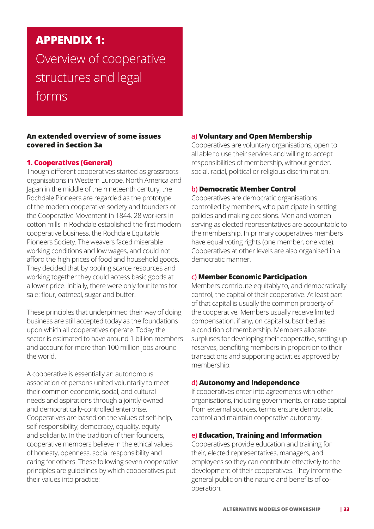# **APPENDIX 1:**  Overview of cooperative structures and legal forms

# **An extended overview of some issues covered in Section 3a**

# **1. Cooperatives (General)**

Though different cooperatives started as grassroots organisations in Western Europe, North America and Japan in the middle of the nineteenth century, the Rochdale Pioneers are regarded as the prototype of the modern cooperative society and founders of the Cooperative Movement in 1844. 28 workers in cotton mills in Rochdale established the first modern cooperative business, the Rochdale Equitable Pioneers Society. The weavers faced miserable working conditions and low wages, and could not afford the high prices of food and household goods. They decided that by pooling scarce resources and working together they could access basic goods at a lower price. Initially, there were only four items for sale: flour, oatmeal, sugar and butter.

These principles that underpinned their way of doing business are still accepted today as the foundations upon which all cooperatives operate. Today the sector is estimated to have around 1 billion members and account for more than 100 million jobs around the world.

A cooperative is essentially an autonomous association of persons united voluntarily to meet their common economic, social, and cultural needs and aspirations through a jointly-owned and democratically-controlled enterprise. Cooperatives are based on the values of self-help, self-responsibility, democracy, equality, equity and solidarity. In the tradition of their founders, cooperative members believe in the ethical values of honesty, openness, social responsibility and caring for others. These following seven cooperative principles are guidelines by which cooperatives put their values into practice:

# **a) Voluntary and Open Membership**

Cooperatives are voluntary organisations, open to all able to use their services and willing to accept responsibilities of membership, without gender, social, racial, political or religious discrimination.

# **b) Democratic Member Control**

Cooperatives are democratic organisations controlled by members, who participate in setting policies and making decisions. Men and women serving as elected representatives are accountable to the membership. In primary cooperatives members have equal voting rights (one member, one vote). Cooperatives at other levels are also organised in a democratic manner.

# **c) Member Economic Participation**

Members contribute equitably to, and democratically control, the capital of their cooperative. At least part of that capital is usually the common property of the cooperative. Members usually receive limited compensation, if any, on capital subscribed as a condition of membership. Members allocate surpluses for developing their cooperative, setting up reserves, benefiting members in proportion to their transactions and supporting activities approved by membership.

# **d) Autonomy and Independence**

If cooperatives enter into agreements with other organisations, including governments, or raise capital from external sources, terms ensure democratic control and maintain cooperative autonomy.

# **e) Education, Training and Information**

Cooperatives provide education and training for their, elected representatives, managers, and employees so they can contribute effectively to the development of their cooperatives. They inform the general public on the nature and benefits of cooperation.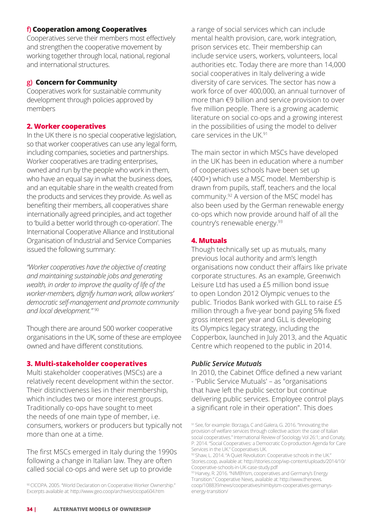# **f) Cooperation among Cooperatives**

Cooperatives serve their members most effectively and strengthen the cooperative movement by working together through local, national, regional and international structures.

# **g) Concern for Community**

Cooperatives work for sustainable community development through policies approved by members

# **2. Worker cooperatives**

In the UK there is no special cooperative legislation, so that worker cooperatives can use any legal form, including companies, societies and partnerships. Worker cooperatives are trading enterprises, owned and run by the people who work in them, who have an equal say in what the business does, and an equitable share in the wealth created from the products and services they provide. As well as benefiting their members, all cooperatives share internationally agreed principles, and act together to 'build a better world through co-operation'. The International Cooperative Alliance and Institutional Organisation of Industrial and Service Companies issued the following summary:

*"Worker cooperatives have the objective of creating and maintaining sustainable jobs and generating wealth, in order to improve the quality of life of the worker-members, dignify human work, allow workers' democratic self-management and promote community and local development."* <sup>90</sup>

Though there are around 500 worker cooperative organisations in the UK, some of these are employee owned and have different constitutions.

# **3. Multi-stakeholder cooperatives**

Multi stakeholder cooperatives (MSCs) are a relatively recent development within the sector. Their distinctiveness lies in their membership, which includes two or more interest groups. Traditionally co-ops have sought to meet the needs of one main type of member, i.e. consumers, workers or producers but typically not more than one at a time.

The first MSCs emerged in Italy during the 1990s following a change in Italian law. They are often called social co-ops and were set up to provide

90 CICOPA. 2005. "World Declaration on Cooperative Worker Ownership." Excerpts available at: http://www.geo.coop/archives/cicopa604.htm

a range of social services which can include mental health provision, care, work integration, prison services etc. Their membership can include service users, workers, volunteers, local authorities etc. Today there are more than 14,000 social cooperatives in Italy delivering a wide diversity of care services. The sector has now a work force of over 400,000, an annual turnover of more than €9 billion and service provision to over five million people. There is a growing academic literature on social co-ops and a growing interest in the possibilities of using the model to deliver care services in the UK 91

The main sector in which MSCs have developed in the UK has been in education where a number of cooperatives schools have been set up (400+) which use a MSC model. Membership is drawn from pupils, staff, teachers and the local community.92 A version of the MSC model has also been used by the German renewable energy co-ops which now provide around half of all the country's renewable energy.93

### **4. Mutuals**

Though technically set up as mutuals, many previous local authority and arm's length organisations now conduct their affairs like private corporate structures. As an example, Greenwich Leisure Ltd has used a £5 million bond issue to open London 2012 Olympic venues to the public. Triodos Bank worked with GLL to raise £5 million through a five-year bond paying 5% fixed gross interest per year and GLL is developing its Olympics legacy strategy, including the Copperbox, launched in July 2013, and the Aquatic Centre which reopened to the public in 2014.

#### *Public Service Mutuals*

In 2010, the Cabinet Office defined a new variant - 'Public Service Mutuals' – as "organisations that have left the public sector but continue delivering public services. Employee control plays a significant role in their operation". This does

<sup>91</sup> See, for example: Borzaga, C and Galera, G. 2016. "Innovating the provision of welfare services through collective action: the case of Italian social cooperatives." International Review of Sociology Vol 26:1; and Conaty, P. 2014. "Social Cooperatives: a Democratic Co-production Agenda for Care Services in the UK." Cooperatives UK.

<sup>92</sup> Shaw, L. 2014. "A Quiet Revolution: Cooperative schools in the UK." Stories.coop, available at: http://stories.coop/wp-content/uploads/2014/10/ Cooperative-schools-in-UK-case-study.pdf

<sup>93</sup> Harvey, R. 2016. "NIMBYism, cooperatives and Germany's Energy Transition." Cooperative News, available at: http://www.thenews. coop/108839/news/cooperatives/nimbyism-cooperatives-germanysenergy-transition/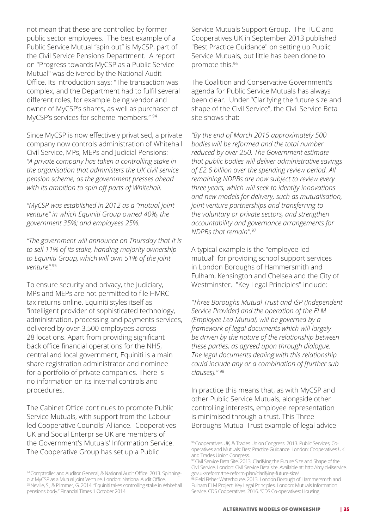not mean that these are controlled by former public sector employees. The best example of a Public Service Mutual "spin out" is MyCSP, part of the Civil Service Pensions Department. A report on "Progress towards MyCSP as a Public Service Mutual" was delivered by the National Audit Office. Its introduction says: "The transaction was complex, and the Department had to fulfil several different roles, for example being vendor and owner of MyCSP's shares, as well as purchaser of MyCSP's services for scheme members." 94

Since MyCSP is now effectively privatised, a private company now controls administration of Whitehall Civil Service, MPs, MEPs and Judicial Pensions: *"A private company has taken a controlling stake in the organisation that administers the UK civil service pension scheme, as the government presses ahead with its ambition to spin off parts of Whitehall.*

*"MyCSP was established in 2012 as a "mutual joint venture" in which Equiniti Group owned 40%, the government 35%; and employees 25%.*

*"The government will announce on Thursday that it is to sell 11% of its stake, handing majority ownership to Equiniti Group, which will own 51% of the joint venture".*<sup>95</sup>

To ensure security and privacy, the Judiciary, MPs and MEPs are not permitted to file HMRC tax returns online. Equiniti styles itself as "intelligent provider of sophisticated technology, administration, processing and payments services, delivered by over 3,500 employees across 28 locations. Apart from providing significant back office financial operations for the NHS, central and local government, Equiniti is a main share registration administrator and nominee for a portfolio of private companies. There is no information on its internal controls and procedures.

The Cabinet Office continues to promote Public Service Mutuals, with support from the Labour led Cooperative Councils' Alliance. Cooperatives UK and Social Enterprise UK are members of the Government's Mutuals' Information Service. The Cooperative Group has set up a Public

Service Mutuals Support Group. The TUC and Cooperatives UK in September 2013 published "Best Practice Guidance" on setting up Public Service Mutuals, but little has been done to promote this.<sup>96</sup>

The Coalition and Conservative Government's agenda for Public Service Mutuals has always been clear. Under "Clarifying the future size and shape of the Civil Service", the Civil Service Beta site shows that:

*"By the end of March 2015 approximately 500 bodies will be reformed and the total number reduced by over 250. The Government estimate that public bodies will deliver administrative savings of £2.6 billion over the spending review period. All remaining NDPBs are now subject to review every three years, which will seek to identify innovations and new models for delivery, such as mutualisation, joint venture partnerships and transferring to the voluntary or private sectors, and strengthen accountability and governance arrangements for NDPBs that remain".*<sup>97</sup>

A typical example is the "employee led mutual" for providing school support services in London Boroughs of Hammersmith and Fulham, Kensington and Chelsea and the City of Westminster. "Key Legal Principles" include:

*"Three Boroughs Mutual Trust and ISP (Independent Service Provider) and the operation of the ELM (Employee Led Mutual) will be governed by a framework of legal documents which will largely be driven by the nature of the relationship between these parties, as agreed upon through dialogue. The legal documents dealing with this relationship could include any or a combination of [further sub clauses]."* <sup>98</sup>

In practice this means that, as with MyCSP and other Public Service Mutuals, alongside other controlling interests, employee representation is minimised through a trust. This Three Boroughs Mutual Trust example of legal advice

<sup>94</sup> Comptroller and Auditor General, & National Audit Office. 2013. Spinningout MyCSP as a Mutual Joint Venture. London: National Audit Office. 95 Neville, S., & Plimmer, G. 2014. "Equiniti takes controlling stake in Whitehall pensions body." Financial Times 1 October 2014.

<sup>96</sup> Cooperatives UK, & Trades Union Congress. 2013. Public Services, Cooperatives and Mutuals: Best Practice Guidance. London: Cooperatives UK and Trades Union Congress.

<sup>&</sup>lt;sup>97</sup> Civil Service Beta Site. 2013. Clarifying the Future Size and Shape of the Civil Service. London: Civil Service Beta site. Available at: http://my.civilservice. gov.uk/reform/the-reform-plan/clarifying-future-size/

 $^{\rm 98}$  Field Fisher Waterhouse. 2013. London Borough of Hammersmith and Fulham ELM Project: Key Legal Principles. London: Mutuals Information Service. CDS Cooperatives. 2016. "CDS Co-operatives: Housing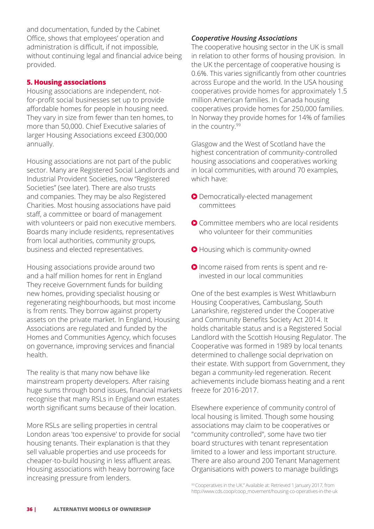and documentation, funded by the Cabinet Office, shows that employees' operation and administration is difficult, if not impossible, without continuing legal and financial advice being provided.

# **5. Housing associations**

Housing associations are independent, notfor-profit social businesses set up to provide affordable homes for people in housing need. They vary in size from fewer than ten homes, to more than 50,000. Chief Executive salaries of larger Housing Associations exceed £300,000 annually.

Housing associations are not part of the public sector. Many are Registered Social Landlords and Industrial Provident Societies, now "Registered Societies" (see later). There are also trusts and companies. They may be also Registered Charities. Most housing associations have paid staff, a committee or board of management with volunteers or paid non executive members. Boards many include residents, representatives from local authorities, community groups, business and elected representatives.

Housing associations provide around two and a half million homes for rent in England They receive Government funds for building new homes, providing specialist housing or regenerating neighbourhoods, but most income is from rents. They borrow against property assets on the private market. In England, Housing Associations are regulated and funded by the Homes and Communities Agency, which focuses on governance, improving services and financial health.

The reality is that many now behave like mainstream property developers. After raising huge sums through bond issues, financial markets recognise that many RSLs in England own estates worth significant sums because of their location.

More RSLs are selling properties in central London areas 'too expensive' to provide for social housing tenants. Their explanation is that they sell valuable properties and use proceeds for cheaper-to-build housing in less affluent areas. Housing associations with heavy borrowing face increasing pressure from lenders.

# *Cooperative Housing Associations*

The cooperative housing sector in the UK is small in relation to other forms of housing provision. In the UK the percentage of cooperative housing is 0.6%. This varies significantly from other countries across Europe and the world. In the USA housing cooperatives provide homes for approximately 1.5 million American families. In Canada housing cooperatives provide homes for 250,000 families. In Norway they provide homes for 14% of families in the country.<sup>99</sup>

Glasgow and the West of Scotland have the highest concentration of community-controlled housing associations and cooperatives working in local communities, with around 70 examples, which have:

- **O** Democratically-elected management committees
- Committee members who are local residents who volunteer for their communities
- **O** Housing which is community-owned
- **O** Income raised from rents is spent and reinvested in our local communities

One of the best examples is West Whitlawburn Housing Cooperatives, Cambuslang, South Lanarkshire, registered under the Cooperative and Community Benefits Society Act 2014. It holds charitable status and is a Registered Social Landlord with the Scottish Housing Regulator. The Cooperative was formed in 1989 by local tenants determined to challenge social deprivation on their estate. With support from Government, they began a community-led regeneration. Recent achievements include biomass heating and a rent freeze for 2016-2017.

Elsewhere experience of community control of local housing is limited. Though some housing associations may claim to be cooperatives or "community controlled", some have two tier board structures with tenant representation limited to a lower and less important structure. There are also around 200 Tenant Management Organisations with powers to manage buildings

<sup>99</sup> Cooperatives in the UK." Available at: Retrieved 1 January 2017, from http://www.cds.coop/coop\_movement/housing-co-operatives-in-the-uk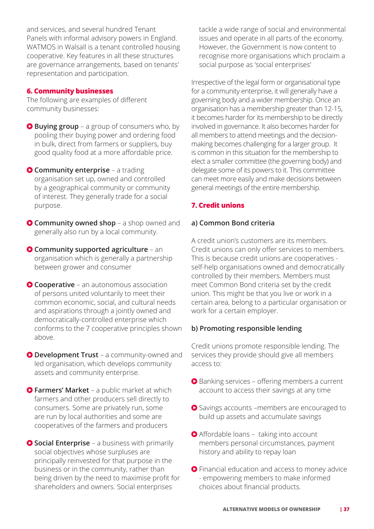and services, and several hundred Tenant Panels with informal advisory powers in England. WATMOS in Walsall is a tenant controlled housing cooperative. Key features in all these structures are governance arrangements, based on tenants' representation and participation.

# **6. Community businesses**

The following are examples of different community businesses:

- **Buying group** a group of consumers who, by pooling their buying power and ordering food in bulk, direct from farmers or suppliers, buy good quality food at a more affordable price.
- **Community enterprise** a trading organisation set up, owned and controlled by a geographical community or community of interest. They generally trade for a social purpose.
- **Community owned shop** a shop owned and generally also run by a local community.
- **O** Community supported agriculture an organisation which is generally a partnership between grower and consumer
- **Cooperative** an autonomous association of persons united voluntarily to meet their common economic, social, and cultural needs and aspirations through a jointly owned and democratically-controlled enterprise which conforms to the 7 cooperative principles shown above.
- **O Development Trust** a community-owned and led organisation, which develops community assets and community enterprise.
- **Farmers' Market** a public market at which farmers and other producers sell directly to consumers. Some are privately run, some are run by local authorities and some are cooperatives of the farmers and producers
- **Social Enterprise** a business with primarily social objectives whose surpluses are principally reinvested for that purpose in the business or in the community, rather than being driven by the need to maximise profit for shareholders and owners. Social enterprises

tackle a wide range of social and environmental issues and operate in all parts of the economy. However, the Government is now content to recognise more organisations which proclaim a social purpose as 'social enterprises'

Irrespective of the legal form or organisational type for a community enterprise, it will generally have a governing body and a wider membership. Once an organisation has a membership greater than 12-15, it becomes harder for its membership to be directly involved in governance. It also becomes harder for all members to attend meetings and the decisionmaking becomes challenging for a larger group. It is common in this situation for the membership to elect a smaller committee (the governing body) and delegate some of its powers to it. This committee can meet more easily and make decisions between general meetings of the entire membership.

# **7. Credit unions**

### **a) Common Bond criteria**

A credit union's customers are its members. Credit unions can only offer services to members. This is because credit unions are cooperatives self-help organisations owned and democratically controlled by their members. Members must meet Common Bond criteria set by the credit union. This might be that you live or work in a certain area, belong to a particular organisation or work for a certain employer.

# **b) Promoting responsible lending**

Credit unions promote responsible lending. The services they provide should give all members access to:

- Banking services offering members a current account to access their savings at any time
- **●** Savings accounts –members are encouraged to build up assets and accumulate savings
- Affordable loans taking into account members personal circumstances, payment history and ability to repay loan
- **O** Financial education and access to money advice - empowering members to make informed choices about financial products.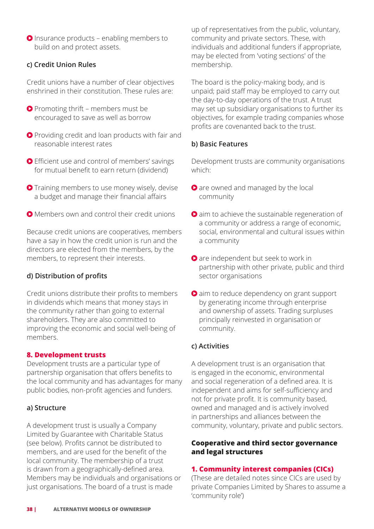**O** Insurance products – enabling members to build on and protect assets.

# **c) Credit Union Rules**

Credit unions have a number of clear objectives enshrined in their constitution. These rules are:

- **P** Promoting thrift members must be encouraged to save as well as borrow
- **Providing credit and loan products with fair and** reasonable interest rates
- Efficient use and control of members' savings for mutual benefit to earn return (dividend)
- **O** Training members to use money wisely, devise a budget and manage their financial affairs
- **O** Members own and control their credit unions

Because credit unions are cooperatives, members have a say in how the credit union is run and the directors are elected from the members, by the members, to represent their interests.

# **d) Distribution of profits**

Credit unions distribute their profits to members in dividends which means that money stays in the community rather than going to external shareholders. They are also committed to improving the economic and social well-being of members.

# **8. Development trusts**

Development trusts are a particular type of partnership organisation that offers benefits to the local community and has advantages for many public bodies, non-profit agencies and funders.

# **a) Structure**

A development trust is usually a Company Limited by Guarantee with Charitable Status (see below). Profits cannot be distributed to members, and are used for the benefit of the local community. The membership of a trust is drawn from a geographically-defined area. Members may be individuals and organisations or just organisations. The board of a trust is made

up of representatives from the public, voluntary, community and private sectors. These, with individuals and additional funders if appropriate, may be elected from 'voting sections' of the membership.

The board is the policy-making body, and is unpaid; paid staff may be employed to carry out the day-to-day operations of the trust. A trust may set up subsidiary organisations to further its objectives, for example trading companies whose profits are covenanted back to the trust.

# **b) Basic Features**

Development trusts are community organisations which:

- **O** are owned and managed by the local community
- **O** aim to achieve the sustainable regeneration of a community or address a range of economic, social, environmental and cultural issues within a community
- **O** are independent but seek to work in partnership with other private, public and third sector organisations
- **O** aim to reduce dependency on grant support by generating income through enterprise and ownership of assets. Trading surpluses principally reinvested in organisation or community.

# **c) Activities**

A development trust is an organisation that is engaged in the economic, environmental and social regeneration of a defined area. It is independent and aims for self-sufficiency and not for private profit. It is community based, owned and managed and is actively involved in partnerships and alliances between the community, voluntary, private and public sectors.

# **Cooperative and third sector governance and legal structures**

# **1. Community interest companies (CICs)**

(These are detailed notes since CICs are used by private Companies Limited by Shares to assume a 'community role')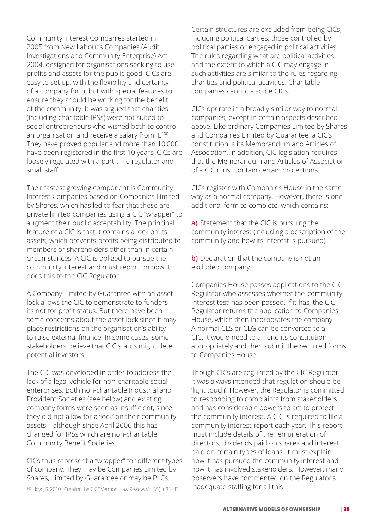Community Interest Companies started in 2005 from New Labour's Companies (Audit, Investigations and Community Enterprise) Act 2004, designed for organisations seeking to use profits and assets for the public good. CICs are easy to set up, with the flexibility and certainty of a company form, but with special features to ensure they should be working for the benefit of the community. It was argued that charities (including charitable IPSs) were not suited to social entrepreneurs who wished both to control an organisation and receive a salary from it.<sup>100</sup> They have proved popular and more than 10,000 have been registered in the first 10 years. CICs are loosely regulated with a part time regulator and small staff.

Their fastest growing component is Community Interest Companies based on Companies Limited by Shares, which has led to fear that these are private limited companies using a CIC "wrapper" to augment their public acceptability. The principal feature of a CIC is that it contains a lock on its assets, which prevents profits being distributed to members or shareholders other than in certain circumstances. A CIC is obliged to pursue the community interest and must report on how it does this to the CIC Regulator.

A Company Limited by Guarantee with an asset lock allows the CIC to demonstrate to funders its not for profit status. But there have been some concerns about the asset lock since it may place restrictions on the organisation's ability to raise external finance. In some cases, some stakeholders believe that CIC status might deter potential investors.

The CIC was developed in order to address the lack of a legal vehicle for non-charitable social enterprises. Both non-charitable Industrial and Provident Societies (see below) and existing company forms were seen as insufficient, since they did not allow for a 'lock' on their community assets – although since April 2006 this has changed for IPSs which are non-charitable Community Benefit Societies.

CICs thus represent a "wrapper" for different types of company. They may be Companies Limited by Shares, Limited by Guarantee or may be PLCs.

100 Lloyd, S. 2010. "Creating the CIC." Vermont Law Review, Vol 35(1): 31-43. 
Inadequate staffing for all this.

Certain structures are excluded from being CICs, including political parties, those controlled by political parties or engaged in political activities. The rules regarding what are political activities and the extent to which a CIC may engage in such activities are similar to the rules regarding charities and political activities. Charitable companies cannot also be CICs.

CICs operate in a broadly similar way to normal companies, except in certain aspects described above. Like ordinary Companies Limited by Shares and Companies Limited by Guarantee, a CIC's constitution is its Memorandum and Articles of Association. In addition, CIC legislation requires that the Memorandum and Articles of Association of a CIC must contain certain protections.

CICs register with Companies House in the same way as a normal company. However, there is one additional form to complete, which contains:

**a)** Statement that the CIC is pursuing the community interest (including a description of the community and how its interest is pursued)

**b)** Declaration that the company is not an excluded company.

Companies House passes applications to the CIC Regulator who assesses whether the 'community interest test' has been passed. If it has, the CIC Regulator returns the application to Companies House, which then incorporates the company. A normal CLS or CLG can be converted to a CIC. It would need to amend its constitution appropriately and then submit the required forms to Companies House.

Though CICs are regulated by the CIC Regulator, it was always intended that regulation should be 'light touch'. However, the Regulator is committed to responding to complaints from stakeholders and has considerable powers to act to protect the community interest. A CIC is required to file a community interest report each year. This report must include details of the remuneration of directors, dividends paid on shares and interest paid on certain types of loans. It must explain how it has pursued the community interest and how it has involved stakeholders. However, many observers have commented on the Regulator's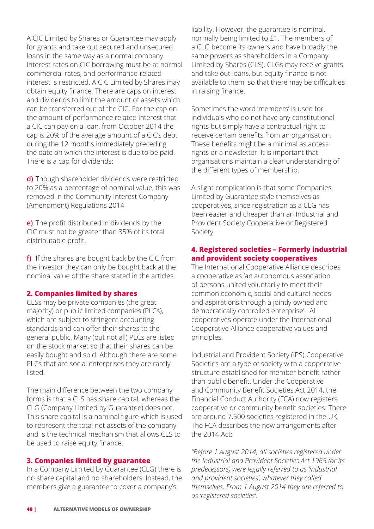A CIC Limited by Shares or Guarantee may apply for grants and take out secured and unsecured loans in the same way as a normal company. Interest rates on CIC borrowing must be at normal commercial rates, and performance-related interest is restricted. A CIC Limited by Shares may obtain equity finance. There are caps on interest and dividends to limit the amount of assets which can be transferred out of the CIC. For the cap on the amount of performance related interest that a CIC can pay on a loan, from October 2014 the cap is 20% of the average amount of a CIC's debt during the 12 months immediately preceding the date on which the interest is due to be paid. There is a cap for dividends:

**d)** Though shareholder dividends were restricted to 20% as a percentage of nominal value, this was removed in the Community Interest Company (Amendment) Regulations 2014

**e)** The profit distributed in dividends by the CIC must not be greater than 35% of its total distributable profit.

**f)** If the shares are bought back by the CIC from the investor they can only be bought back at the nominal value of the share stated in the articles

#### **2. Companies limited by shares**

CLSs may be private companies (the great majority) or public limited companies (PLCs), which are subject to stringent accounting standards and can offer their shares to the general public. Many (but not all) PLCs are listed on the stock market so that their shares can be easily bought and sold. Although there are some PLCs that are social enterprises they are rarely listed.

The main difference between the two company forms is that a CLS has share capital, whereas the CLG (Company Limited by Guarantee) does not. This share capital is a nominal figure which is used to represent the total net assets of the company and is the technical mechanism that allows CLS to be used to raise equity finance.

#### **3. Companies limited by guarantee**

In a Company Limited by Guarantee (CLG) there is no share capital and no shareholders. Instead, the members give a guarantee to cover a company's

liability. However, the guarantee is nominal, normally being limited to £1. The members of a CLG become its owners and have broadly the same powers as shareholders in a Company Limited by Shares (CLS). CLGs may receive grants and take out loans, but equity finance is not available to them, so that there may be difficulties in raising finance.

Sometimes the word 'members' is used for individuals who do not have any constitutional rights but simply have a contractual right to receive certain benefits from an organisation. These benefits might be a minimal as access rights or a newsletter. It is important that organisations maintain a clear understanding of the different types of membership.

A slight complication is that some Companies Limited by Guarantee style themselves as cooperatives, since registration as a CLG has been easier and cheaper than an Industrial and Provident Society Cooperative or Registered Society.

### **4. Registered societies – Formerly industrial and provident society cooperatives**

The International Cooperative Alliance describes a cooperative as 'an autonomous association of persons united voluntarily to meet their common economic, social and cultural needs and aspirations through a jointly owned and democratically controlled enterprise'. All cooperatives operate under the International Cooperative Alliance cooperative values and principles.

Industrial and Provident Society (IPS) Cooperative Societies are a type of society with a cooperative structure established for member benefit rather than public benefit. Under the Cooperative and Community Benefit Societies Act 2014, the Financial Conduct Authority (FCA) now registers cooperative or community benefit societies. There are around 7,500 societies registered in the UK. The FCA describes the new arrangements after the 2014 Act:

*"Before 1 August 2014, all societies registered under the Industrial and Provident Societies Act 1965 (or its predecessors) were legally referred to as 'industrial and provident societies', whatever they called themselves. From 1 August 2014 they are referred to as 'registered societies'.*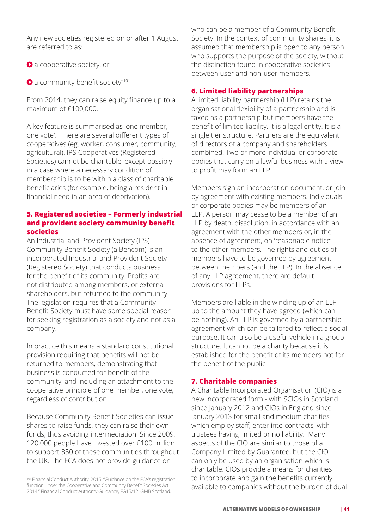Any new societies registered on or after 1 August are referred to as:

- **a** cooperative society, or
- **a** community benefit society"<sup>101</sup>

From 2014, they can raise equity finance up to a maximum of £100,000.

A key feature is summarised as 'one member, one vote'. There are several different types of cooperatives (eg. worker, consumer, community, agricultural). IPS Cooperatives (Registered Societies) cannot be charitable, except possibly in a case where a necessary condition of membership is to be within a class of charitable beneficiaries (for example, being a resident in financial need in an area of deprivation).

# **5. Registered societies – Formerly industrial and provident society community benefit societies**

An Industrial and Provident Society (IPS) Community Benefit Society (a Bencom) is an incorporated Industrial and Provident Society (Registered Society) that conducts business for the benefit of its community. Profits are not distributed among members, or external shareholders, but returned to the community. The legislation requires that a Community Benefit Society must have some special reason for seeking registration as a society and not as a company.

In practice this means a standard constitutional provision requiring that benefits will not be returned to members, demonstrating that business is conducted for benefit of the community, and including an attachment to the cooperative principle of one member, one vote, regardless of contribution.

Because Community Benefit Societies can issue shares to raise funds, they can raise their own funds, thus avoiding intermediation. Since 2009, 120,000 people have invested over £100 million to support 350 of these communities throughout the UK. The FCA does not provide guidance on

who can be a member of a Community Benefit Society. In the context of community shares, it is assumed that membership is open to any person who supports the purpose of the society, without the distinction found in cooperative societies between user and non-user members.

# **6. Limited liability partnerships**

A limited liability partnership (LLP) retains the organisational flexibility of a partnership and is taxed as a partnership but members have the benefit of limited liability. It is a legal entity. It is a single tier structure. Partners are the equivalent of directors of a company and shareholders combined. Two or more individual or corporate bodies that carry on a lawful business with a view to profit may form an LLP.

Members sign an incorporation document, or join by agreement with existing members. Individuals or corporate bodies may be members of an LLP. A person may cease to be a member of an LLP by death, dissolution, in accordance with an agreement with the other members or, in the absence of agreement, on 'reasonable notice' to the other members. The rights and duties of members have to be governed by agreement between members (and the LLP). In the absence of any LLP agreement, there are default provisions for LLPs.

Members are liable in the winding up of an LLP up to the amount they have agreed (which can be nothing). An LLP is governed by a partnership agreement which can be tailored to reflect a social purpose. It can also be a useful vehicle in a group structure. It cannot be a charity because it is established for the benefit of its members not for the benefit of the public.

# **7. Charitable companies**

A Charitable Incorporated Organisation (CIO) is a new incorporated form - with SCIOs in Scotland since January 2012 and CIOs in England since January 2013 for small and medium charities which employ staff, enter into contracts, with trustees having limited or no liability. Many aspects of the CIO are similar to those of a Company Limited by Guarantee, but the CIO can only be used by an organisation which is charitable. CIOs provide a means for charities to incorporate and gain the benefits currently available to companies without the burden of dual

<sup>101</sup> Financial Conduct Authority. 2015. "Guidance on the FCA's registration function under the Cooperative and Community Benefit Societies Act 2014." Financial Conduct Authority Guidance, FG15/12 GMB Scotland.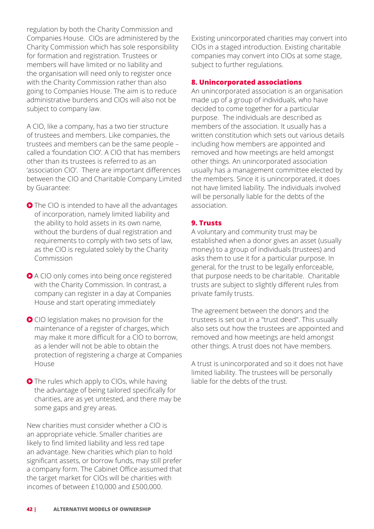regulation by both the Charity Commission and Companies House. CIOs are administered by the Charity Commission which has sole responsibility for formation and registration. Trustees or members will have limited or no liability and the organisation will need only to register once with the Charity Commission rather than also going to Companies House. The aim is to reduce administrative burdens and CIOs will also not be subject to company law.

A CIO, like a company, has a two tier structure of trustees and members. Like companies, the trustees and members can be the same people – called a 'foundation CIO'. A CIO that has members other than its trustees is referred to as an 'association CIO'. There are important differences between the CIO and Charitable Company Limited by Guarantee:

● The CIO is intended to have all the advantages of incorporation, namely limited liability and the ability to hold assets in its own name, without the burdens of dual registration and requirements to comply with two sets of law, as the CIO is regulated solely by the Charity Commission

● A CIO only comes into being once registered with the Charity Commission. In contrast, a company can register in a day at Companies House and start operating immediately

CIO legislation makes no provision for the maintenance of a register of charges, which may make it more difficult for a CIO to borrow, as a lender will not be able to obtain the protection of registering a charge at Companies House

**O** The rules which apply to CIOs, while having the advantage of being tailored specifically for charities, are as yet untested, and there may be some gaps and grey areas.

New charities must consider whether a CIO is an appropriate vehicle. Smaller charities are likely to find limited liability and less red tape an advantage. New charities which plan to hold significant assets, or borrow funds, may still prefer a company form. The Cabinet Office assumed that the target market for CIOs will be charities with incomes of between £10,000 and £500,000.

Existing unincorporated charities may convert into CIOs in a staged introduction. Existing charitable companies may convert into CIOs at some stage, subject to further regulations.

# **8. Unincorporated associations**

An unincorporated association is an organisation made up of a group of individuals, who have decided to come together for a particular purpose. The individuals are described as members of the association. It usually has a written constitution which sets out various details including how members are appointed and removed and how meetings are held amongst other things. An unincorporated association usually has a management committee elected by the members. Since it is unincorporated, it does not have limited liability. The individuals involved will be personally liable for the debts of the association.

### **9. Trusts**

A voluntary and community trust may be established when a donor gives an asset (usually money) to a group of individuals (trustees) and asks them to use it for a particular purpose. In general, for the trust to be legally enforceable, that purpose needs to be charitable. Charitable trusts are subject to slightly different rules from private family trusts.

The agreement between the donors and the trustees is set out in a "trust deed". This usually also sets out how the trustees are appointed and removed and how meetings are held amongst other things. A trust does not have members.

A trust is unincorporated and so it does not have limited liability. The trustees will be personally liable for the debts of the trust.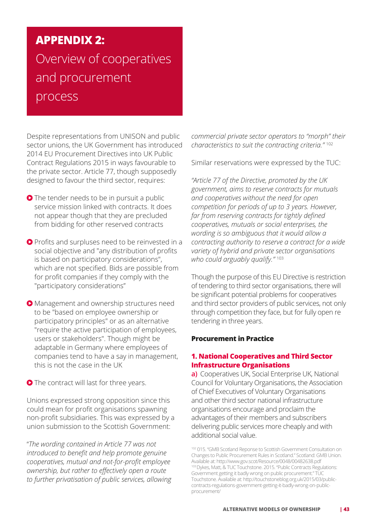# **APPENDIX 2:**  Overview of cooperatives and procurement process

Despite representations from UNISON and public sector unions, the UK Government has introduced 2014 EU Procurement Directives into UK Public Contract Regulations 2015 in ways favourable to the private sector. Article 77, though supposedly designed to favour the third sector, requires:

- **O** The tender needs to be in pursuit a public service mission linked with contracts. It does not appear though that they are precluded from bidding for other reserved contracts
- **O** Profits and surpluses need to be reinvested in a social objective and "any distribution of profits is based on participatory considerations", which are not specified. Bids are possible from for profit companies if they comply with the "participatory considerations"
- Management and ownership structures need to be "based on employee ownership or participatory principles" or as an alternative "require the active participation of employees, users or stakeholders". Though might be adaptable in Germany where employees of companies tend to have a say in management, this is not the case in the UK
- **O** The contract will last for three years.

Unions expressed strong opposition since this could mean for profit organisations spawning non-profit subsidiaries. This was expressed by a union submission to the Scottish Government:

"*The wording contained in Article 77 was not introduced to benefit and help promote genuine cooperatives, mutual and not-for-profit employee ownership, but rather to effectively open a route to further privatisation of public services, allowing*  *commercial private sector operators to "morph" their characteristics to suit the contracting criteria."* <sup>102</sup>

Similar reservations were expressed by the TUC:

*"Article 77 of the Directive, promoted by the UK government, aims to reserve contracts for mutuals and cooperatives without the need for open competition for periods of up to 3 years. However, far from reserving contracts for tightly defined cooperatives, mutuals or social enterprises, the wording is so ambiguous that it would allow a contracting authority to reserve a contract for a wide variety of hybrid and private sector organisations who could arguably qualify."* <sup>103</sup>

Though the purpose of this EU Directive is restriction of tendering to third sector organisations, there will be significant potential problems for cooperatives and third sector providers of public services, not only through competition they face, but for fully open re tendering in three years.

# **Procurement in Practice**

### **1. National Cooperatives and Third Sector Infrastructure Organisations**

**a)** Cooperatives UK, Social Enterprise UK, National Council for Voluntary Organisations, the Association of Chief Executives of Voluntary Organisations and other third sector national infrastructure organisations encourage and proclaim the advantages of their members and subscribers delivering public services more cheaply and with additional social value.

<sup>102 015. &</sup>quot;GMB Scotland Reponse to Scottish Government Consultation on Changes to Public Procurement Rules in Scotland." Scotland: GMB Union. Available at: http://www.gov.scot/Resource/0048/00482638.pdf 103 Dykes, Matt, & TUC Touchstone. 2015. "Public Contracts Regulations: Government getting it badly wrong on public procurement." TUC Touchstone. Available at: http://touchstoneblog.org.uk/2015/03/publiccontracts-regulations-government-getting-it-badly-wrong-on-publicprocurement/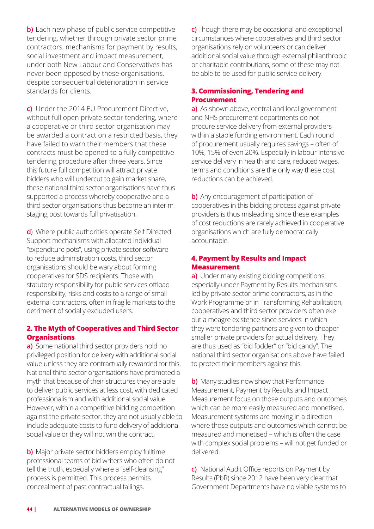**b)** Each new phase of public service competitive tendering, whether through private sector prime contractors, mechanisms for payment by results, social investment and impact measurement, under both New Labour and Conservatives has never been opposed by these organisations, despite consequential deterioration in service standards for clients.

**c)** Under the 2014 EU Procurement Directive, without full open private sector tendering, where a cooperative or third sector organisation may be awarded a contract on a restricted basis, they have failed to warn their members that these contracts must be opened to a fully competitive tendering procedure after three years. Since this future full competition will attract private bidders who will undercut to gain market share, these national third sector organisations have thus supported a process whereby cooperative and a third sector organisations thus become an interim staging post towards full privatisation.

**d**) Where public authorities operate Self Directed Support mechanisms with allocated individual "expenditure pots", using private sector software to reduce administration costs, third sector organisations should be wary about forming cooperatives for SDS recipients. Those with statutory responsibility for public services offload responsibility, risks and costs to a range of small external contractors, often in fragile markets to the detriment of socially excluded users.

# **2. The Myth of Cooperatives and Third Sector Organisations**

**a)** Some national third sector providers hold no privileged position for delivery with additional social value unless they are contractually rewarded for this. National third sector organisations have promoted a myth that because of their structures they are able to deliver public services at less cost, with dedicated professionalism and with additional social value. However, within a competitive bidding competition against the private sector, they are not usually able to include adequate costs to fund delivery of additional social value or they will not win the contract.

**b)** Major private sector bidders employ fulltime professional teams of bid writers who often do not tell the truth, especially where a "self-cleansing" process is permitted. This process permits concealment of past contractual failings.

**c)** Though there may be occasional and exceptional circumstances where cooperatives and third sector organisations rely on volunteers or can deliver additional social value through external philanthropic or charitable contributions, some of these may not be able to be used for public service delivery.

# **3. Commissioning, Tendering and Procurement**

**a)** As shown above, central and local government and NHS procurement departments do not procure service delivery from external providers within a stable funding environment. Each round of procurement usually requires savings – often of 10%, 15% of even 20%. Especially in labour intensive service delivery in health and care, reduced wages, terms and conditions are the only way these cost reductions can be achieved.

**b)** Any encouragement of participation of cooperatives in this bidding process against private providers is thus misleading, since these examples of cost reductions are rarely achieved in cooperative organisations which are fully democratically accountable.

# **4. Payment by Results and Impact Measurement**

**a)** Under many existing bidding competitions, especially under Payment by Results mechanisms led by private sector prime contractors, as in the Work Programme or in Transforming Rehabilitation, cooperatives and third sector providers often eke out a meagre existence since services in which they were tendering partners are given to cheaper smaller private providers for actual delivery. They are thus used as "bid fodder" or "bid candy". The national third sector organisations above have failed to protect their members against this.

**b)** Many studies now show that Performance Measurement, Payment by Results and Impact Measurement focus on those outputs and outcomes which can be more easily measured and monetised. Measurement systems are moving in a direction where those outputs and outcomes which cannot be measured and monetised – which is often the case with complex social problems – will not get funded or delivered.

**c)** National Audit Office reports on Payment by Results (PbR) since 2012 have been very clear that Government Departments have no viable systems to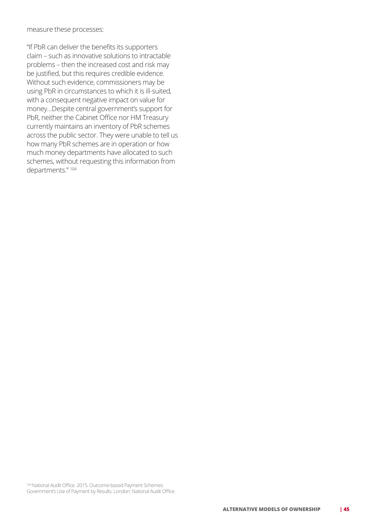measure these processes:

"If PbR can deliver the benefits its supporters claim – such as innovative solutions to intractable problems – then the increased cost and risk may be justified, but this requires credible evidence. Without such evidence, commissioners may be using PbR in circumstances to which it is ill-suited, with a consequent negative impact on value for money…Despite central government's support for PbR, neither the Cabinet Office nor HM Treasury currently maintains an inventory of PbR schemes across the public sector. They were unable to tell us how many PbR schemes are in operation or how much money departments have allocated to such schemes, without requesting this information from departments." <sup>104</sup>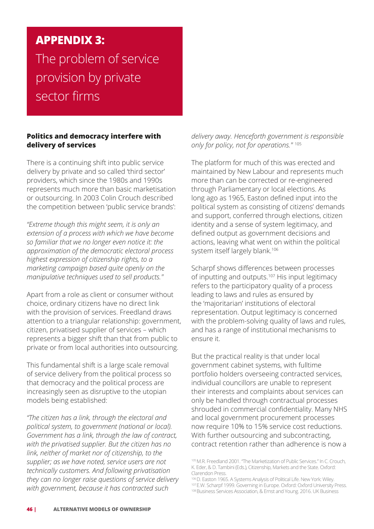# **APPENDIX 3:**

The problem of service provision by private sector firms

### **Politics and democracy interfere with delivery of services**

There is a continuing shift into public service delivery by private and so called 'third sector' providers, which since the 1980s and 1990s represents much more than basic marketisation or outsourcing. In 2003 Colin Crouch described the competition between 'public service brands':

*"Extreme though this might seem, it is only an extension of a process with which we have become so familiar that we no longer even notice it: the approximation of the democratic electoral process highest expression of citizenship rights, to a marketing campaign based quite openly on the manipulative techniques used to sell products."*

Apart from a role as client or consumer without choice, ordinary citizens have no direct link with the provision of services. Freedland draws attention to a triangular relationship: government, citizen, privatised supplier of services – which represents a bigger shift than that from public to private or from local authorities into outsourcing.

This fundamental shift is a large scale removal of service delivery from the political process so that democracy and the political process are increasingly seen as disruptive to the utopian models being established:

*"The citizen has a link, through the electoral and political system, to government (national or local). Government has a link, through the law of contract, with the privatised supplier. But the citizen has no link, neither of market nor of citizenship, to the supplier; as we have noted, service users are not technically customers. And following privatisation they can no longer raise questions of service delivery with government, because it has contracted such* 

*delivery away. Henceforth government is responsible only for policy, not for operations."* <sup>105</sup>

The platform for much of this was erected and maintained by New Labour and represents much more than can be corrected or re-engineered through Parliamentary or local elections. As long ago as 1965, Easton defined input into the political system as consisting of citizens' demands and support, conferred through elections, citizen identity and a sense of system legitimacy, and defined output as government decisions and actions, leaving what went on within the political system itself largely blank.<sup>106</sup>

Scharpf shows differences between processes of inputting and outputs.<sup>107</sup> His input legitimacy refers to the participatory quality of a process leading to laws and rules as ensured by the 'majoritarian' institutions of electoral representation. Output legitimacy is concerned with the problem-solving quality of laws and rules, and has a range of institutional mechanisms to ensure it.

But the practical reality is that under local government cabinet systems, with fulltime portfolio holders overseeing contracted services, individual councillors are unable to represent their interests and complaints about services can only be handled through contractual processes shrouded in commercial confidentiality. Many NHS and local government procurement processes now require 10% to 15% service cost reductions. With further outsourcing and subcontracting, contract retention rather than adherence is now a

<sup>105</sup> M.R. Freedland 2001. "The Marketization of Public Services." In C. Crouch, K. Eder, & D. Tambini (Eds.), Citizenship, Markets and the State. Oxford: Clarendon Press.

<sup>106</sup> D. Easton 1965. A Systems Analysis of Political Life. New York: Wiley. 107 E.W. Scharpf 1999. Governing in Europe. Oxford: Oxford University Press. <sup>108</sup> Business Services Association, & Ernst and Young. 2016. UK Business